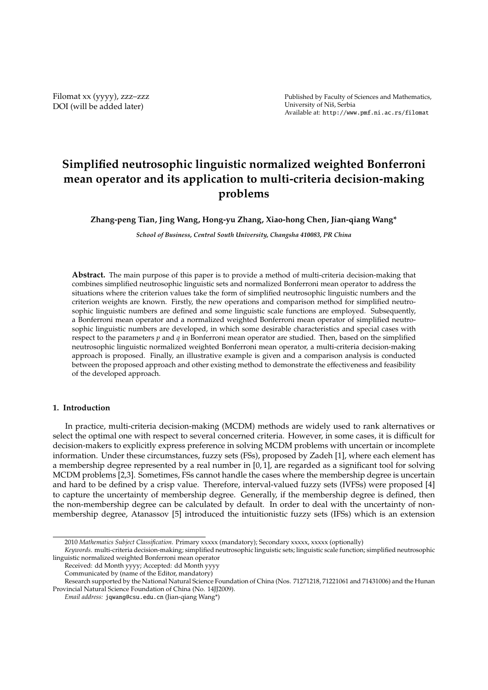Filomat xx (yyyy), zzz–zzz DOI (will be added later)

Published by Faculty of Sciences and Mathematics, University of Niš, Serbia Available at: http://www.pmf.ni.ac.rs/filomat

# **Simplified neutrosophic linguistic normalized weighted Bonferroni mean operator and its application to multi-criteria decision-making problems**

**Zhang-peng Tian, Jing Wang, Hong-yu Zhang, Xiao-hong Chen, Jian-qiang Wang\***

*School of Business, Central South University, Changsha 410083, PR China*

**Abstract.** The main purpose of this paper is to provide a method of multi-criteria decision-making that combines simplified neutrosophic linguistic sets and normalized Bonferroni mean operator to address the situations where the criterion values take the form of simplified neutrosophic linguistic numbers and the criterion weights are known. Firstly, the new operations and comparison method for simplified neutrosophic linguistic numbers are defined and some linguistic scale functions are employed. Subsequently, a Bonferroni mean operator and a normalized weighted Bonferroni mean operator of simplified neutrosophic linguistic numbers are developed, in which some desirable characteristics and special cases with respect to the parameters *p* and *q* in Bonferroni mean operator are studied. Then, based on the simplified neutrosophic linguistic normalized weighted Bonferroni mean operator, a multi-criteria decision-making approach is proposed. Finally, an illustrative example is given and a comparison analysis is conducted between the proposed approach and other existing method to demonstrate the effectiveness and feasibility of the developed approach.

## **1. Introduction**

In practice, multi-criteria decision-making (MCDM) methods are widely used to rank alternatives or select the optimal one with respect to several concerned criteria. However, in some cases, it is difficult for decision-makers to explicitly express preference in solving MCDM problems with uncertain or incomplete information. Under these circumstances, fuzzy sets (FSs), proposed by Zadeh [1], where each element has a membership degree represented by a real number in [0, 1], are regarded as a significant tool for solving MCDM problems [2,3]. Sometimes, FSs cannot handle the cases where the membership degree is uncertain and hard to be defined by a crisp value. Therefore, interval-valued fuzzy sets (IVFSs) were proposed [4] to capture the uncertainty of membership degree. Generally, if the membership degree is defined, then the non-membership degree can be calculated by default. In order to deal with the uncertainty of nonmembership degree, Atanassov [5] introduced the intuitionistic fuzzy sets (IFSs) which is an extension

<sup>2010</sup> *Mathematics Subject Classification*. Primary xxxxx (mandatory); Secondary xxxxx, xxxxx (optionally)

*Keywords*. multi-criteria decision-making; simplified neutrosophic linguistic sets; linguistic scale function; simplified neutrosophic linguistic normalized weighted Bonferroni mean operator

Received: dd Month yyyy; Accepted: dd Month yyyy

Communicated by (name of the Editor, mandatory)

Research supported by the National Natural Science Foundation of China (Nos. 71271218, 71221061 and 71431006) and the Hunan Provincial Natural Science Foundation of China (No. 14JJ2009).

*Email address:* jqwang@csu.edu.cn (Jian-qiang Wang\*)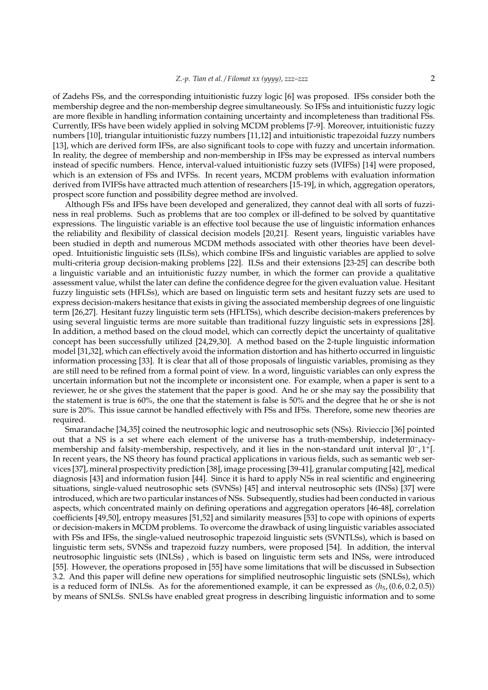of Zadehs FSs, and the corresponding intuitionistic fuzzy logic [6] was proposed. IFSs consider both the membership degree and the non-membership degree simultaneously. So IFSs and intuitionistic fuzzy logic are more flexible in handling information containing uncertainty and incompleteness than traditional FSs. Currently, IFSs have been widely applied in solving MCDM problems [7-9]. Moreover, intuitionistic fuzzy numbers [10], triangular intuitionistic fuzzy numbers [11,12] and intuitionistic trapezoidal fuzzy numbers [13], which are derived form IFSs, are also significant tools to cope with fuzzy and uncertain information. In reality, the degree of membership and non-membership in IFSs may be expressed as interval numbers instead of specific numbers. Hence, interval-valued intuitionistic fuzzy sets (IVIFSs) [14] were proposed, which is an extension of FSs and IVFSs. In recent years, MCDM problems with evaluation information derived from IVIFSs have attracted much attention of researchers [15-19], in which, aggregation operators, prospect score function and possibility degree method are involved.

Although FSs and IFSs have been developed and generalized, they cannot deal with all sorts of fuzziness in real problems. Such as problems that are too complex or ill-defined to be solved by quantitative expressions. The linguistic variable is an effective tool because the use of linguistic information enhances the reliability and flexibility of classical decision models [20,21]. Resent years, linguistic variables have been studied in depth and numerous MCDM methods associated with other theories have been developed. Intuitionistic linguistic sets (ILSs), which combine IFSs and linguistic variables are applied to solve multi-criteria group decision-making problems [22]. ILSs and their extensions [23-25] can describe both a linguistic variable and an intuitionistic fuzzy number, in which the former can provide a qualitative assessment value, whilst the later can define the confidence degree for the given evaluation value. Hesitant fuzzy linguistic sets (HFLSs), which are based on linguistic term sets and hesitant fuzzy sets are used to express decision-makers hesitance that exists in giving the associated membership degrees of one linguistic term [26,27]. Hesitant fuzzy linguistic term sets (HFLTSs), which describe decision-makers preferences by using several linguistic terms are more suitable than traditional fuzzy linguistic sets in expressions [28]. In addition, a method based on the cloud model, which can correctly depict the uncertainty of qualitative concept has been successfully utilized [24,29,30]. A method based on the 2-tuple linguistic information model [31,32], which can effectively avoid the information distortion and has hitherto occurred in linguistic information processing [33]. It is clear that all of those proposals of linguistic variables, promising as they are still need to be refined from a formal point of view. In a word, linguistic variables can only express the uncertain information but not the incomplete or inconsistent one. For example, when a paper is sent to a reviewer, he or she gives the statement that the paper is good. And he or she may say the possibility that the statement is true is 60%, the one that the statement is false is 50% and the degree that he or she is not sure is 20%. This issue cannot be handled effectively with FSs and IFSs. Therefore, some new theories are required.

Smarandache [34,35] coined the neutrosophic logic and neutrosophic sets (NSs). Rivieccio [36] pointed out that a NS is a set where each element of the universe has a truth-membership, indeterminacymembership and falsity-membership, respectively, and it lies in the non-standard unit interval ]0<sup>-</sup>, 1<sup>+</sup>[. In recent years, the NS theory has found practical applications in various fields, such as semantic web services [37], mineral prospectivity prediction [38], image processing [39-41], granular computing [42], medical diagnosis [43] and information fusion [44]. Since it is hard to apply NSs in real scientific and engineering situations, single-valued neutrosophic sets (SVNSs) [45] and interval neutrosophic sets (INSs) [37] were introduced, which are two particular instances of NSs. Subsequently, studies had been conducted in various aspects, which concentrated mainly on defining operations and aggregation operators [46-48], correlation coefficients [49,50], entropy measures [51,52] and similarity measures [53] to cope with opinions of experts or decision-makers in MCDM problems. To overcome the drawback of using linguistic variables associated with FSs and IFSs, the single-valued neutrosophic trapezoid linguistic sets (SVNTLSs), which is based on linguistic term sets, SVNSs and trapezoid fuzzy numbers, were proposed [54]. In addition, the interval neutrosophic linguistic sets (INLSs) , which is based on linguistic term sets and INSs, were introduced [55]. However, the operations proposed in [55] have some limitations that will be discussed in Subsection 3.2. And this paper will define new operations for simplified neutrosophic linguistic sets (SNLSs), which is a reduced form of INLSs. As for the aforementioned example, it can be expressed as  $\langle h_{5}, (0.6, 0.2, 0.5) \rangle$ by means of SNLSs. SNLSs have enabled great progress in describing linguistic information and to some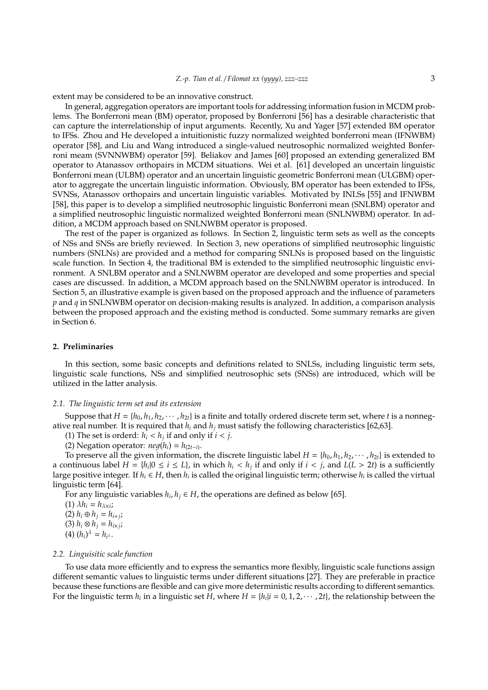extent may be considered to be an innovative construct.

In general, aggregation operators are important tools for addressing information fusion in MCDM problems. The Bonferroni mean (BM) operator, proposed by Bonferroni [56] has a desirable characteristic that can capture the interrelationship of input arguments. Recently, Xu and Yager [57] extended BM operator to IFSs. Zhou and He developed a intuitionistic fuzzy normalized weighted bonferroni mean (IFNWBM) operator [58], and Liu and Wang introduced a single-valued neutrosophic normalized weighted Bonferroni meam (SVNNWBM) operator [59]. Beliakov and James [60] proposed an extending generalized BM operator to Atanassov orthopairs in MCDM situations. Wei et al. [61] developed an uncertain linguistic Bonferroni mean (ULBM) operator and an uncertain linguistic geometric Bonferroni mean (ULGBM) operator to aggregate the uncertain linguistic information. Obviously, BM operator has been extended to IFSs, SVNSs, Atanassov orthopairs and uncertain linguistic variables. Motivated by INLSs [55] and IFNWBM [58], this paper is to develop a simplified neutrosophic linguistic Bonferroni mean (SNLBM) operator and a simplified neutrosophic linguistic normalized weighted Bonferroni mean (SNLNWBM) operator. In addition, a MCDM approach based on SNLNWBM operator is proposed.

The rest of the paper is organized as follows. In Section 2, linguistic term sets as well as the concepts of NSs and SNSs are briefly reviewed. In Section 3, new operations of simplified neutrosophic linguistic numbers (SNLNs) are provided and a method for comparing SNLNs is proposed based on the linguistic scale function. In Section 4, the traditional BM is extended to the simplified neutrosophic linguistic environment. A SNLBM operator and a SNLNWBM operator are developed and some properties and special cases are discussed. In addition, a MCDM approach based on the SNLNWBM operator is introduced. In Section 5, an illustrative example is given based on the proposed approach and the influence of parameters *p* and *q* in SNLNWBM operator on decision-making results is analyzed. In addition, a comparison analysis between the proposed approach and the existing method is conducted. Some summary remarks are given in Section 6.

## **2. Preliminaries**

In this section, some basic concepts and definitions related to SNLSs, including linguistic term sets, linguistic scale functions, NSs and simplified neutrosophic sets (SNSs) are introduced, which will be utilized in the latter analysis.

#### *2.1. The linguistic term set and its extension*

Suppose that  $H = \{h_0, h_1, h_2, \dots, h_{2t}\}$  is a finite and totally ordered discrete term set, where *t* is a nonnegative real number. It is required that  $h_i$  and  $h_j$  must satisfy the following characteristics [62,63].

(1) The set is orderd:  $h_i < h_j$  if and only if  $i < j$ .

(2) Negation operator:  $neg(h_i) = h_{(2t-i)}$ .

To preserve all the given information, the discrete linguistic label  $H = \{h_0, h_1, h_2, \cdots, h_{2t}\}$  is extended to a continuous label  $H = \{h_i | 0 \le i \le L\}$ , in which  $h_i < h_j$  if and only if  $i < j$ , and  $L(L > 2t)$  is a sufficiently large positive integer. If  $h_i \in H$ , then  $h_i$  is called the original linguistic term; otherwise  $h_i$  is called the virtual linguistic term [64].

For any linguistic variables  $h_i, h_j \in H$ , the operations are defined as below [65].

 $(1)$   $\lambda h_i = h_{\lambda \times i}$ ;

(2)  $h_i ⊕ h_j = h_{i+j}$ ;

 $(3)$   $h_i \otimes h_j = h_{i \times j}$ ;

# $(4) (h_i)^{\lambda} = h_{i^{\lambda}}.$

#### *2.2. Linguisitic scale function*

To use data more efficiently and to express the semantics more flexibly, linguistic scale functions assign different semantic values to linguistic terms under different situations [27]. They are preferable in practice because these functions are flexible and can give more deterministic results according to different semantics. For the linguistic term  $h_i$  in a linguistic set *H*, where  $H = \{h_i | i = 0, 1, 2, \cdots, 2t\}$ , the relationship between the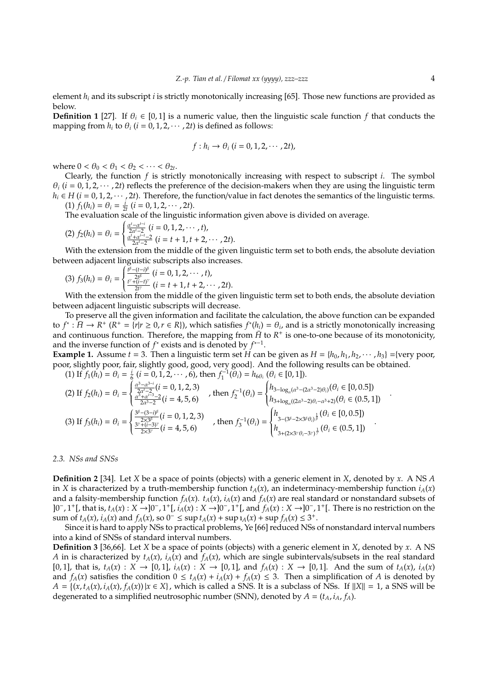element *h<sup>i</sup>* and its subscript *i* is strictly monotonically increasing [65]. Those new functions are provided as below.

**Definition 1** [27]. If  $\theta_i \in [0, 1]$  is a numeric value, then the linguistic scale function *f* that conducts the mapping from  $h_i$  to  $\theta_i$  ( $i = 0, 1, 2, \dots, 2t$ ) is defined as follows:

$$
f: h_i \to \theta_i \ (i=0,1,2,\cdots,2t),
$$

where  $0 < \theta_0 < \theta_1 < \theta_2 < \cdots < \theta_{2t}$ .

Clearly, the function *f* is strictly monotonically increasing with respect to subscript *i*. The symbol  $\theta_i$  (*i* = 0, 1, 2,  $\cdots$ , 2*t*) reflects the preference of the decision-makers when they are using the linguistic term  $h_i \in H$  (*i* = 0, 1, 2, · · · , 2*t*). Therefore, the function/value in fact denotes the semantics of the linguistic terms.  $(1) f_1(h_i) = \theta_i = \frac{i}{2t} (i = 0, 1, 2, \cdots, 2t).$ 

The evaluation scale of the linguistic information given above is divided on average.

(2) 
$$
f_2(h_i) = \theta_i = \begin{cases} \frac{\alpha^i - \alpha^{i-i}}{2\alpha^{i} - 2} (i = 0, 1, 2, \cdots, t), \\ \frac{\alpha^i + \alpha^{i-i} - 2}{2\alpha^{i} - 2} (i = t + 1, t + 2, \cdots, 2t). \end{cases}
$$

With the extension from the middle of the given linguistic term set to both ends, the absolute deviation With the extension from the middle of the given linguistic term set to both ends, the absolute deviation between adjacent linguistic subscripts also increases.

(3) 
$$
f_3(h_i) = \theta_i = \begin{cases} \frac{t^{\beta} - (t - i)^{\beta}}{2t^{\beta}} & (i = 0, 1, 2, \dots, t), \\ \frac{t^{\gamma} + (i - t)^{\gamma}}{2t^{\gamma}} & (i = t + 1, t + 2, \dots, 2t). \end{cases}
$$

With the extension from the middle of the given linguistic term set to both ends, the absolute deviation With the extension from the middle of the given linguistic term set to both ends, the absolute deviation between adjacent linguistic subscripts will decrease.

To preserve all the given information and facilitate the calculation, the above function can be expanded to  $f^*: \overline{H} \to R^+$  ( $R^+ = \{r | r \ge 0, r \in R\}$ ), which satisfies  $f^*(h_i) = \theta_i$ , and is a strictly monotonically increasing and continuous function. Therefore, the mapping from  $\bar{H}$  to  $R^+$  is one-to-one because of its monotonicity, and the inverse function of  $f^*$  exists and is denoted by  $f^{*-1}$ .

**Example 1.** Assume  $t = 3$ . Then a linguistic term set *H* can be given as  $H = \{h_0, h_1, h_2, \dots, h_3\} = \{ \text{very poor, }$ poor, slightly poor, fair, slightly good, good, very good}. And the following results can be obtained.

(1) If  $f_1(h_i) = \theta_i = \frac{i}{6}$  (*i* = 0, 1, 2, · · · , 6), then  $f_1^{-1}(\theta_i) = h_{6\theta_i}$  ( $\theta_i \in [0, 1]$ ).

$$
(2) \text{ If } f_2(h_i) = \theta_i = \begin{cases} \frac{\alpha^3 - \alpha^{3-i}}{2\alpha^4 - 2} (i = 0, 1, 2, 3) \\ \frac{\alpha^3 + \alpha^{i-3} - 2}{2\alpha^3 - 2} (i = 4, 5, 6) \end{cases}, \text{ then } f_2^{-1}(\theta_i) = \begin{cases} h_{3-\log_a(\alpha^3 - (2\alpha^3 - 2)\theta_i)}(\theta_i \in [0, 0.5]) \\ h_{3+\log_a((2\alpha^3 - 2)\theta_i - \alpha^3 + 2)}(\theta_i \in (0.5, 1]) \end{cases}
$$
  
\n
$$
(3) \text{ If } f_3(h_i) = \theta_i = \begin{cases} \frac{3^{\beta} - (3 - i)^{\beta}}{2 \times 3^{\beta}} (i = 0, 1, 2, 3) \\ \frac{3^{\gamma} + (i - 3)^{\gamma}}{2 \times 3^{\gamma}} (i = 4, 5, 6) \end{cases}, \text{ then } f_3^{-1}(\theta_i) = \begin{cases} h_{3-(3^{\beta} - 2 \times 3^{\beta}\theta_i)^{\frac{1}{\beta}}}(\theta_i \in [0, 0.5]) \\ h_{3+(2 \times 3^{\gamma}\theta_i - 3^{\gamma})^{\frac{1}{\gamma}}}(\theta_i \in (0.5, 1]) \end{cases}
$$

*2.3. NSs and SNSs*

**Definition 2** [34]. Let *X* be a space of points (objects) with a generic element in *X*, denoted by *x*. A NS *A* in *X* is characterized by a truth-membership function  $t_A(x)$ , an indeterminacy-membership function  $i_A(x)$ and a falsity-membership function  $f_A(x)$ .  $t_A(x)$ ,  $i_A(x)$  and  $f_A(x)$  are real standard or nonstandard subsets of ]0<sup>−</sup> , 1 + [, that is, *tA*(*x*) : *X* →]0<sup>−</sup> , 1 + [, *iA*(*x*) : *X* →]0<sup>−</sup> , 1 + [, and *fA*(*x*) : *X* →]0<sup>−</sup> , 1 + [. There is no restriction on the sum of *t<sub>A</sub>*(*x*), *i<sub>A</sub>*(*x*) and *f<sub>A</sub>*(*x*), so 0<sup>−</sup> ≤ sup *t<sub>A</sub>*(*x*) + sup *i<sub>A</sub>*(*x*) + sup *f<sub>A</sub>*(*x*) ≤ 3<sup>+</sup>.

Since it is hard to apply NSs to practical problems, Ye [66] reduced NSs of nonstandard interval numbers into a kind of SNSs of standard interval numbers.

**Definition 3** [36,66]. Let *X* be a space of points (objects) with a generic element in *X*, denoted by *x*. A NS *A* in is characterized by  $t_A(x)$ ,  $i_A(x)$  and  $f_A(x)$ , which are single subintervals/subsets in the real standard [0,1], that is,  $t_A(x) : X \to [0,1]$ ,  $i_A(x) : X \to [0,1]$ , and  $f_A(x) : X \to [0,1]$ . And the sum of  $t_A(x)$ ,  $i_A(x)$ and  $f_A(x)$  satisfies the condition  $0 \le t_A(x) + i_A(x) + f_A(x) \le 3$ . Then a simplification of *A* is denoted by  $A = \{(x, t_A(x), i_A(x), f_A(x)) | x \in X\}$ , which is called a SNS. It is a subclass of NSs. If  $||X|| = 1$ , a SNS will be degenerated to a simplified neutrosophic number (SNN), denoted by  $A = (t_A, i_A, f_A)$ .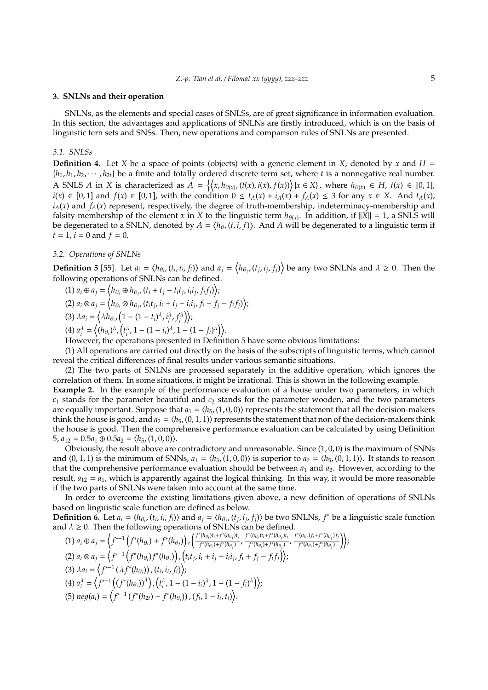## **3. SNLNs and their operation**

SNLNs, as the elements and special cases of SNLSs, are of great significance in information evaluation. In this section, the advantages and applications of SNLNs are firstly introduced, which is on the basis of linguistic tern sets and SNSs. Then, new operations and comparison rules of SNLNs are presented.

## *3.1. SNLSs*

**Definition 4.** Let *X* be a space of points (objects) with a generic element in *X*, denoted by *x* and  $H =$  ${h_0, h_1, h_2, \cdots, h_{2t}}$  be a finite and totally ordered discrete term set, where *t* is a nonnegative real number. A SNLS A in X is characterized as  $A = \{(x, h_{\theta(x)}, (t(x), i(x), f(x))) | x \in X\}$ , where  $h_{\theta(x)} \in H$ ,  $t(x) \in [0, 1]$ ,  $i(x) \in [0,1]$  and  $f(x) \in [0,1]$ , with the condition  $0 \le t_A(x) + i_A(x) + f_A(x) \le 3$  for any  $x \in X$ . And  $t_A(x)$ ,  $i_A(x)$  and  $f_A(x)$  represent, respectively, the degree of truth-membership, indeterminacy-membership and falsity-membership of the element *x* in *X* to the linguistic term  $h_{\theta(x)}$ . In addition, if  $||X|| = 1$ , a SNLS will be degenerated to a SNLN, denoted by  $A = \langle h_\theta, (t,i,f) \rangle$ . And  $A$  will be degenerated to a linguistic term if  $t = 1$ ,  $i = 0$  and  $f = 0$ .

## *3.2. Operations of SNLNs*

**Definition 5** [55]. Let  $a_i = \langle h_{\theta_i}, (t_i, i_i, f_i) \rangle$  and  $a_j = \langle h_{\theta_j}, (t_j, i_j, f_j) \rangle$  be any two SNLNs and  $\lambda \geq 0$ . Then the following operations of SNLNs can be defined.

(1)  $a_i \oplus a_j = \langle h_{\theta_i} \oplus h_{\theta_j}, (t_i + t_j - t_i t_j, i_i i_j, f_i f_j) \rangle;$ (2)  $a_i \otimes a_j = \langle h_{\theta_i} \otimes h_{\theta_j}, (t_i t_j, i_i + i_j - i_i i_j, f_i + f_j - f_i f_j) \rangle;$ (3)  $\lambda a_i = \left\langle \lambda h_{\theta_i}, \left(1 - (1 - t_i)^{\lambda}, t_i^{\lambda}, f_i^{\lambda}\right) \right\rangle;$ 

 $(4) a_i^{\lambda} = \left\langle (h_{\theta_i})^{\lambda}, (t_i^{\lambda}, 1 - (1 - i_i)^{\lambda}, 1 - (1 - f_i)^{\lambda}) \right\rangle.$ 

However, the operations presented in Definition 5 have some obvious limitations:

(1) All operations are carried out directly on the basis of the subscripts of linguistic terms, which cannot reveal the critical differences of final results under various semantic situations.

(2) The two parts of SNLNs are processed separately in the additive operation, which ignores the correlation of them. In some situations, it might be irrational. This is shown in the following example.

**Example 2.** In the example of the performance evaluation of a house under two parameters, in which *c*<sup>1</sup> stands for the parameter beautiful and *c*<sup>2</sup> stands for the parameter wooden, and the two parameters are equally important. Suppose that  $a_1 = \langle h_5, (1, 0, 0) \rangle$  represents the statement that all the decision-makers think the house is good, and  $a_2 = \langle h_5, (0, 1, 1) \rangle$  represents the statement that non of the decision-makers think the house is good. Then the comprehensive performance evaluation can be calculated by using Definition  $5, a_{12} = 0.5a_1 \oplus 0.5a_2 = \langle h_5, (1, 0, 0) \rangle.$ 

Obviously, the result above are contradictory and unreasonable. Since (1, 0, 0) is the maximum of SNNs and  $(0, 1, 1)$  is the minimum of SNNs,  $a_1 = \langle h_5, (1, 0, 0) \rangle$  is superior to  $a_2 = \langle h_5, (0, 1, 1) \rangle$ . It stands to reason that the comprehensive performance evaluation should be between  $a_1$  and  $a_2$ . However, according to the result,  $a_{12} = a_1$ , which is apparently against the logical thinking. In this way, it would be more reasonable if the two parts of SNLNs were taken into account at the same time.

In order to overcome the existing limitations given above, a new definition of operations of SNLNs based on linguistic scale function are defined as below.

**Definition 6.** Let  $a_i = \langle h_{\theta_i}, (t_i, i_i, f_i) \rangle$  and  $a_j = \langle h_{\theta_j}, (t_j, i_j, f_j) \rangle$  be two SNLNs,  $f^*$  be a linguistic scale function and  $\lambda \geq 0$ . Then the following operations of SNLNs can be defined.

(1) 
$$
a_i \oplus a_j = \left\langle f^{*-1} \left( f^*(h_{\theta_i}) + f^*(h_{\theta_j}) \right) , \left( \frac{f^*(h_{\theta_i})t_i + f^*(h_{\theta_j})t_j}{f^*(h_{\theta_i}) + f^*(h_{\theta_j})}, \frac{f^*(h_{\theta_i})t_i + f^*(h_{\theta_j})t_j}{f^*(h_{\theta_i}) + f^*(h_{\theta_j})}, \frac{f^*(h_{\theta_i})f_i + f^*(h_{\theta_j})f_j}{f^*(h_{\theta_i}) + f^*(h_{\theta_j})} \right) \right\rangle;
$$
  
\n(2)  $a_i \otimes a_j = \left\langle f^{*-1} \left( f^*(h_{\theta_i}) f^*(h_{\theta_j}) \right), \left( t_i t_j, i_i + i_j - i_i t_j, f_i + f_j - f_i f_j \right) \right\rangle;$   
\n(3)  $\lambda a_i = \left\langle f^{*-1} \left( \lambda f^*(h_{\theta_i}) \right), (t_i, i_i, f_i) \right\rangle;$   
\n(4)  $a_i^{\lambda} = \left\langle f^{*-1} \left( (f^*(h_{\theta_i}))^{\lambda} \right), (t_i^{\lambda}, 1 - (1 - i_i)^{\lambda}, 1 - (1 - f_i)^{\lambda} \right) \right\rangle;$   
\n(5)  $neg(a_i) = \left\langle f^{*-1} \left( f^*(h_{2i}) - f^*(h_{\theta_i}) \right), (f_i, 1 - i_i, t_i) \right\rangle.$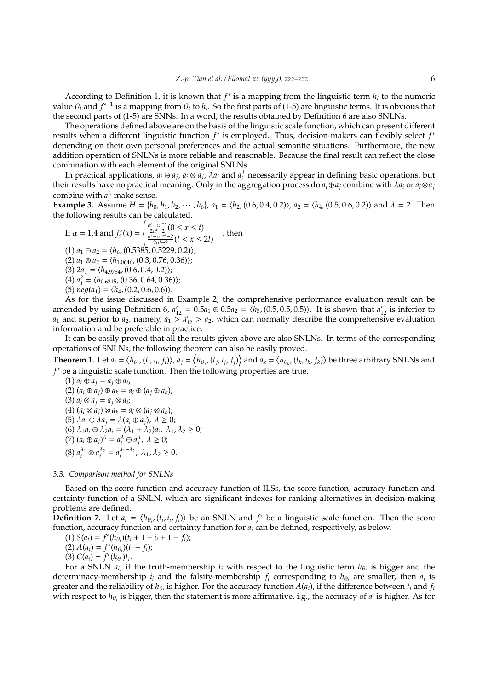According to Definition 1, it is known that  $f^*$  is a mapping from the linguistic term  $h_i$  to the numeric value  $\theta_i$  and  $f^{*-1}$  is a mapping from  $\theta_i$  to  $h_i$ . So the first parts of (1-5) are linguistic terms. It is obvious that the second parts of (1-5) are SNNs. In a word, the results obtained by Definition 6 are also SNLNs.

The operations defined above are on the basis of the linguistic scale function, which can present different results when a different linguistic function *f*<sup>\*</sup> is employed. Thus, decision-makers can flexibly select *f*<sup>*∗*</sup> depending on their own personal preferences and the actual semantic situations. Furthermore, the new addition operation of SNLNs is more reliable and reasonable. Because the final result can reflect the close combination with each element of the original SNLNs.

In practical applications,  $a_i \oplus a_j$ ,  $a_i \otimes a_j$ ,  $\lambda a_i$  and  $a_i^{\lambda}$  necessarily appear in defining basic operations, but their results have no practical meaning. Only in the aggregation process do  $a_i \oplus a_j$  combine with  $\lambda a_i$  or  $a_i \otimes a_j$ combine with  $a_i^{\lambda}$  make sense.

**Example 3.** Assume  $H = \{h_0, h_1, h_2, \cdots, h_6\}$ ,  $a_1 = \langle h_2, (0.6, 0.4, 0.2) \rangle$ ,  $a_2 = \langle h_4, (0.5, 0.6, 0.2) \rangle$  and  $\lambda = 2$ . Then the following results can be calculated.

If 
$$
\alpha = 1.4
$$
 and  $f_2^*(x) = \begin{cases} \frac{\alpha^t - \alpha^{t-x}}{2\alpha^{t-2}} (0 \le x \le t) \\ \frac{\alpha^t - \alpha^{t-x}}{2\alpha^{t-2}} (t < x \le 2t) \end{cases}$ , then  
\n(1)  $a_1 \oplus a_2 = \langle h_6, (0.5385, 0.5229, 0.2) \rangle$ ;  
\n(2)  $a_1 \otimes a_2 = \langle h_{1.0646}, (0.3, 0.76, 0.36) \rangle$ ;  
\n(3)  $2a_1 = \langle h_{4.9754}, (0.6, 0.4, 0.2) \rangle$ ;  
\n(4)  $a_1^2 = \langle h_{0.6215}, (0.36, 0.64, 0.36) \rangle$ ;  
\n(5)  $neg(a_1) = \langle h_4, (0.2, 0.6, 0.6) \rangle$ .  
\nAs for the issue discussed in Example 2, the co-

mprehensive performance evaluation result can be amended by using Definition 6,  $a'_{12} = 0.5a_1 \oplus 0.5a_2 = \langle h_5, (0.5, 0.5, 0.5) \rangle$ . It is shown that  $a'_{12}$  is inferior to  $a_1$  and superior to  $a_2$ , namely,  $a_1 > a'_{12} > a_2$ , which can normally describe the comprehensive evaluation information and be preferable in practice.

It can be easily proved that all the results given above are also SNLNs. In terms of the corresponding operations of SNLNs, the following theorem can also be easily proved.

**Theorem 1.** Let  $a_i = \langle h_{\theta_i}, (t_i, i_i, f_i) \rangle$ ,  $a_j = \langle h_{\theta_j}, (t_j, i_j, f_j) \rangle$  and  $a_k = \langle h_{\theta_k}, (t_k, i_k, f_k) \rangle$  be three arbitrary SNLNs and *f* <sup>∗</sup> be a linguistic scale function. Then the following properties are true.

 $(1) a_i \oplus a_j = a_j \oplus a_i;$  $(2)$   $(a_i \oplus a_j) \oplus a_k = a_i \oplus (a_i \oplus a_k);$  $(3) a_i \otimes a_j = a_j \otimes a_i;$  $(4)$   $(a_i \otimes a_j) \otimes a_k = a_i \otimes (a_j \otimes a_k);$ (5)  $\lambda a_i \oplus \lambda a_j = \lambda (a_i \oplus a_j), \lambda \geq 0;$ (6)  $\lambda_1 a_i \oplus \lambda_2 a_i = (\lambda_1 + \lambda_2) a_i, \lambda_1, \lambda_2 \geq 0;$ (7)  $(a_i \oplus a_j)^\lambda = a_i^\lambda \oplus a_j^\lambda$ ,  $\lambda \ge 0$ ; (8)  $a_i^{\lambda_1} \otimes a_i^{\lambda_2} = a_i^{\lambda_1 + \lambda_2}, \lambda_1, \lambda_2 \ge 0.$ 

## *3.3. Comparison method for SNLNs*

Based on the score function and accuracy function of ILSs, the score function, accuracy function and certainty function of a SNLN, which are significant indexes for ranking alternatives in decision-making problems are defined.

**Definition** 7. Let  $a_i = \langle h_{\theta_i}, (t_i, i_i, f_i) \rangle$  be an SNLN and  $f^*$  be a linguistic scale function. Then the score function, accuracy function and certainty function for *a<sup>i</sup>* can be defined, respectively, as below.

(1) 
$$
S(a_i) = f^*(h_{\theta_i})(t_i + 1 - i_i + 1 - f_i);
$$

 $(A) A(a_i) = f^*(h_{\theta_i})(t_i - f_i);$ 

(3)  $C(a_i) = f^*(h_{\theta_i})t_i$ .

For a SNLN  $a_i$ , if the truth-membership  $t_i$  with respect to the linguistic term  $h_{\theta_i}$  is bigger and the determinacy-membership  $i_i$  and the falsity-membership  $f_i$  corresponding to  $h_{\theta_i}$  are smaller, then  $a_i$  is greater and the reliability of  $h_{\theta_i}$  is higher. For the accuracy function  $A(a_i)$ , if the difference between  $t_i$  and  $f_i$ with respect to  $h_{\theta_i}$  is bigger, then the statement is more affirmative, i.g., the accuracy of  $a_i$  is higher. As for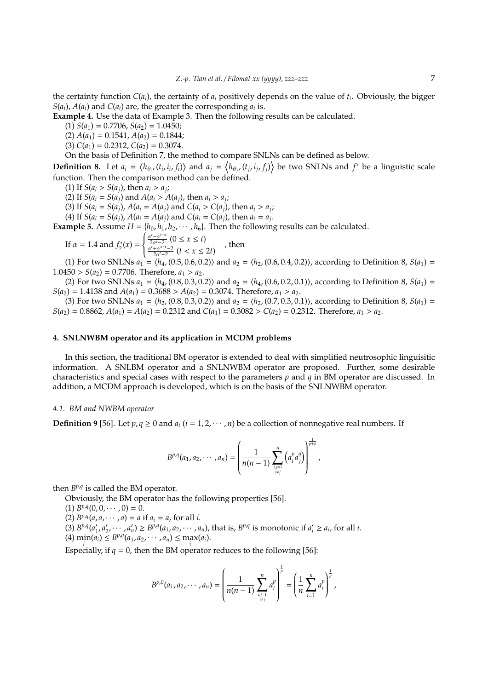the certainty function *C*(*ai*), the certainty of *a<sup>i</sup>* positively depends on the value of *t<sup>i</sup>* . Obviously, the bigger *S*( $a_i$ ),  $A(a_i)$  and  $C(a_i)$  are, the greater the corresponding  $a_i$  is.

**Example 4.** Use the data of Example 3. Then the following results can be calculated.

 $(1) S(a_1) = 0.7706, S(a_2) = 1.0450;$ 

 $(2) A(a_1) = 0.1541, A(a_2) = 0.1844;$ 

 $(C(a_1) = 0.2312, C(a_2) = 0.3074.$ 

On the basis of Definition 7, the method to compare SNLNs can be defined as below.

**Definition 8.** Let  $a_i = \langle h_{\theta_i}, (t_i, i_i, f_i) \rangle$  and  $a_j = \langle h_{\theta_j}, (t_j, i_j, f_j) \rangle$  be two SNLNs and  $f^*$  be a linguistic scale function. Then the comparison method can be defined.

(1) If  $S(a_i > S(a_j)$ , then  $a_i > a_j$ ;

(2) If  $S(a_i = S(a_j)$  and  $A(a_i > A(a_j))$ , then  $a_i > a_j$ ;

(3) If  $S(a_i = S(a_j), A(a_i = A(a_j) \text{ and } C(a_i > C(a_j), \text{ then } a_i > a_j;$ 

(4) If  $S(a_i = S(a_j)$ ,  $A(a_i = A(a_j)$  and  $C(a_i = C(a_j)$ , then  $a_i = a_j$ .

**Example 5.** Assume  $H = \{h_0, h_1, h_2, \cdots, h_6\}$ . Then the following results can be calculated.

If 
$$
\alpha = 1.4
$$
 and  $f_2^*(x) = \begin{cases} \frac{\alpha^t - \alpha^{t-x}}{2\alpha^t - 2} (0 \le x \le t) \\ \frac{\alpha^t + \alpha^{x-t} - 2}{2\alpha^t - 2} (t < x \le 2t) \end{cases}$ , then

(1) For two SNLNs  $a_1 = \langle h_4, (0.5, 0.6, 0.2) \rangle$  and  $a_2 = \langle h_2, (0.6, 0.4, 0.2) \rangle$ , according to Definition 8,  $S(a_1)$  $1.0450 > S(a_2) = 0.7706$ . Therefore,  $a_1 > a_2$ .

(2) For two SNLNs  $a_1 = \langle h_4, (0.8, 0.3, 0.2) \rangle$  and  $a_2 = \langle h_4, (0.6, 0.2, 0.1) \rangle$ , according to Definition 8,  $S(a_1)$  = *S*( $a_2$ ) = 1.4138 and *A*( $a_1$ ) = 0.3688 > *A*( $a_2$ ) = 0.3074. Therefore,  $a_1 > a_2$ .

(3) For two SNLNs  $a_1 = \langle h_2, (0.8, 0.3, 0.2) \rangle$  and  $a_2 = \langle h_2, (0.7, 0.3, 0.1) \rangle$ , according to Definition 8,  $S(a_1)$  =  $S(a_2) = 0.8862$ ,  $A(a_1) = A(a_2) = 0.2312$  and  $C(a_1) = 0.3082 > C(a_2) = 0.2312$ . Therefore,  $a_1 > a_2$ .

## **4. SNLNWBM operator and its application in MCDM problems**

In this section, the traditional BM operator is extended to deal with simplified neutrosophic linguisitic information. A SNLBM operator and a SNLNWBM operator are proposed. Further, some desirable characteristics and special cases with respect to the parameters *p* and *q* in BM operator are discussed. In addition, a MCDM approach is developed, which is on the basis of the SNLNWBM operator.

#### *4.1. BM and NWBM operator*

**Definition 9** [56]. Let  $p, q \ge 0$  and  $a_i$  ( $i = 1, 2, \dots, n$ ) be a collection of nonnegative real numbers. If

$$
B^{p,q}(a_1, a_2, \cdots, a_n) = \left(\frac{1}{n(n-1)}\sum_{i,j=1 \atop i \neq j}^n \left(a_i^p a_j^q\right)\right)^{\frac{1}{p+q}},
$$

then  $B^{p,q}$  is called the BM operator.

Obviously, the BM operator has the following properties [56].

(1)  $B^{p,q}(0,0,\cdots,0)=0.$ 

(2)  $B^{p,q}(a, a, \dots, a) = a$  if  $a_i = a$ , for all *i*.

(3)  $B^{p,q}(a_1)$  $\gamma_1, a'_2, \dots, a'_n$ )  $\geq B^{p,q}(a_1, a_2, \dots, a_n)$ , that is,  $B^{p,q}$  is monotonic if  $a'_i$  $a_i \ge a_i$ , for all *i*.

 $\{4\} \min_{i} (\hat{a_i}) \leq B^{p,q}(a_1, a_2, \cdots, a_n) \leq \max_i (a_i).$ 

Especially, if  $q = 0$ , then the BM operator reduces to the following [56]:

$$
B^{p,0}(a_1,a_2,\cdots,a_n)=\left(\frac{1}{n(n-1)}\sum_{i,j=1 \atop i\neq j}^{n}a_i^p\right)^{\frac{1}{p}}=\left(\frac{1}{n}\sum_{i=1}^{n}a_i^p\right)^{\frac{1}{p}},
$$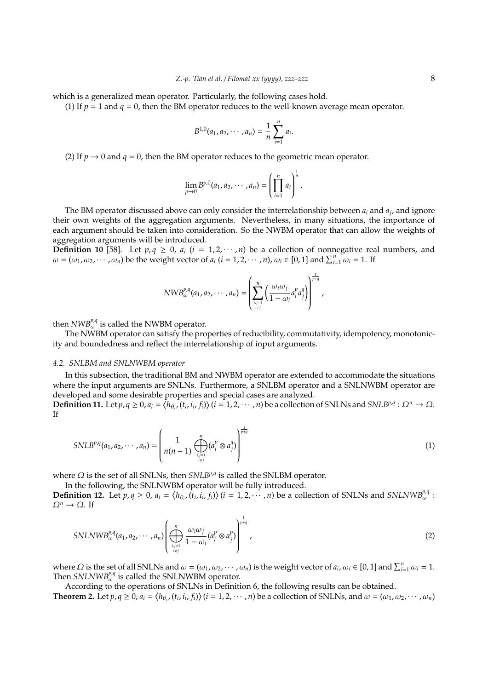which is a generalized mean operator. Particularly, the following cases hold.

(1) If  $p = 1$  and  $q = 0$ , then the BM operator reduces to the well-known average mean operator.

$$
B^{1,0}(a_1,a_2,\cdots,a_n)=\frac{1}{n}\sum_{i=1}^n a_i.
$$

(2) If  $p \rightarrow 0$  and  $q = 0$ , then the BM operator reduces to the geometric mean operator.

$$
\lim_{p\to 0} B^{p,0}(a_1,a_2,\cdots,a_n) = \left(\prod_{i=1}^n a_i\right)^{\frac{1}{n}}.
$$

The BM operator discussed above can only consider the interrelationship between *a<sup>i</sup>* and *a<sup>j</sup>* , and ignore their own weights of the aggregation arguments. Nevertheless, in many situations, the importance of each argument should be taken into consideration. So the NWBM operator that can allow the weights of aggregation arguments will be introduced.

**Definition 10** [58]. Let  $p, q \ge 0$ ,  $a_i$  ( $i = 1, 2, \dots, n$ ) be a collection of nonnegative real numbers, and  $\omega = (\omega_1, \omega_2, \dots, \omega_n)$  be the weight vector of  $a_i$  ( $i = 1, 2, \dots, n$ ),  $\omega_i \in [0, 1]$  and  $\sum_{i=1}^n \omega_i = 1$ . If

$$
NWB^{\nu,q}_{\omega}(a_1,a_2,\cdots,a_n)=\left(\sum_{i,j=1 \atop i\neq j}^n\left(\frac{\omega_i\omega_j}{1-\omega_i}a_i^p a_j^q\right)\right)^{\frac{1}{p+q}},
$$

then  $NWB_{\omega}^{p,q}$  is called the NWBM operator.

The NWBM operator can satisfy the properties of reducibility, commutativity, idempotency, monotonicity and boundedness and reflect the interrelationship of input arguments.

## *4.2. SNLBM and SNLNWBM operator*

In this subsection, the traditional BM and NWBM operator are extended to accommodate the situations where the input arguments are SNLNs. Furthermore, a SNLBM operator and a SNLNWBM operator are developed and some desirable properties and special cases are analyzed.

**Definition 11.** Let  $p, q \ge 0$ ,  $a_i = \langle h_{\theta_i}, (t_i, i_i, f_i) \rangle$   $(i = 1, 2, \dots, n)$  be a collection of SNLNs and SNLBPA :  $\Omega^n \to \Omega$ . If

$$
SNLB^{p,q}(a_1, a_2, \cdots, a_n) = \left(\frac{1}{n(n-1)} \bigoplus_{i,j=1 \atop i \neq j}^{n} (a_i^p \otimes a_j^q)\right)^{\frac{1}{p+q}}
$$
(1)

where Ω is the set of all SNLNs, then *SNLB<sup>p,q</sup>* is called the SNLBM operator.

In the following, the SNLNWBM operator will be fully introduced.

**Definition 12.** Let  $p, q \ge 0$ ,  $a_i = \langle h_{\theta_i}, (t_i, i_i, f_i) \rangle$   $(i = 1, 2, \dots, n)$  be a collection of SNLNs and SNLNWB<sup>p,q</sup> :  $\Omega^n \to \Omega$ . If

$$
SNLNWB_{\omega}^{p,q}(a_1, a_2, \cdots, a_n) \left( \bigoplus_{\substack{i,j=1 \ i \neq j}}^n \frac{\omega_i \omega_j}{1 - \omega_i} (a_i^p \otimes a_j^p) \right)^{\frac{1}{p+q}}, \qquad (2)
$$

where  $\Omega$  is the set of all SNLNs and  $\omega = (\omega_1, \omega_2, \cdots, \omega_n)$  is the weight vector of  $a_i, \omega_i \in [0, 1]$  and  $\sum_{i=1}^n \omega_i = 1$ . Then *SNLNWB<sup>p,q</sup>* is called the SNLNWBM operator.

According to the operations of SNLNs in Definition 6, the following results can be obtained.

**Theorem 2.** Let  $p, q \ge 0$ ,  $a_i = \langle h_{\theta_i}, (t_i, i_i, f_i) \rangle$   $(i = 1, 2, \cdots, n)$  be a collection of SNLNs, and  $\omega = (\omega_1, \omega_2, \cdots, \omega_n)$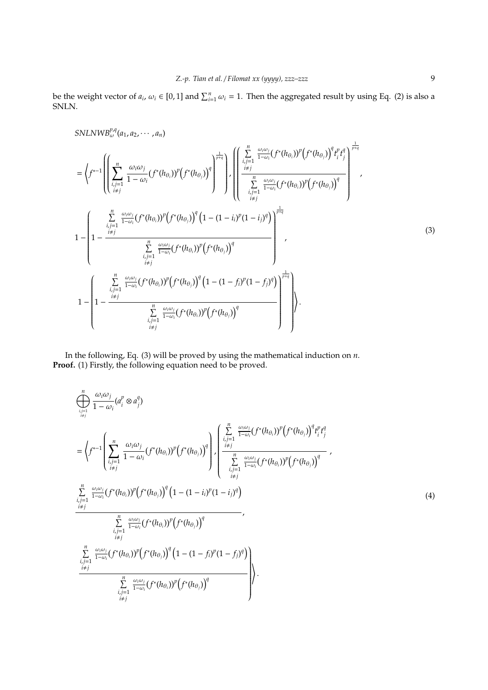be the weight vector of  $a_i$ ,  $\omega_i \in [0,1]$  and  $\sum_{i=1}^n \omega_i = 1$ . Then the aggregated result by using Eq. (2) is also a SNLN.

SNLNWB<sup>p,q</sup><sub>ω</sub>(a<sub>1</sub>, a<sub>2</sub>, · · · , a<sub>n</sub>)  
\n=
$$
\left\langle f^{*-1}\left(\left[\sum_{\substack{i,j=1 \ i\neq j}}^{n} \frac{\omega_i \omega_j}{1-\omega_i} (f^*(h_{\theta_i}))^p (f^*(h_{\theta_j}))^q\right]^{1/2}\right) \cdot \left(\left[\sum_{\substack{i,j=1 \ i\neq j}}^{n} \frac{\omega_i \omega_j}{1-\omega_i} (f^*(h_{\theta_j}))^p (f^*(h_{\theta_j}))^q\right]^{1/2}\right) \cdot \left(\left[\sum_{\substack{i,j=1 \ i\neq j}}^{n} \frac{\omega_i \omega_j}{1-\omega_i} (f^*(h_{\theta_j}))^p (f^*(h_{\theta_j}))^q\right]^{1/2}\right) \cdot \left(\sum_{\substack{i,j=1 \ i\neq j}}^{n} \frac{\omega_i \omega_j}{1-\omega_i} (f^*(h_{\theta_j}))^p (f^*(h_{\theta_j}))^q\right)^{1/2}\right) \cdot \left(\sum_{\substack{i,j=1 \ i\neq j}}^{n} \frac{\omega_i \omega_j}{1-\omega_i} (f^*(h_{\theta_j}))^p (f^*(h_{\theta_j}))^q\right)^{1/2/2}\right) \cdot \left(\sum_{\substack{i,j=1 \ i\neq j}}^{n} \frac{\omega_i \omega_j}{1-\omega_i} (f^*(h_{\theta_j}))^p (f^*(h_{\theta_j}))^q\right)^{1/2}\right) \cdot \left(\sum_{\substack{i,j=1 \ i\neq j}}^{n} \frac{\omega_i \omega_j}{1-\omega_i} (f^*(h_{\theta_j}))^p (f^*(h_{\theta_j}))^q (1-(1-f_i)^p (1-f_j)^q)\right)^{1/2}\right) \cdot \left(\sum_{\substack{i,j=1 \ i\neq j}}^{n} \frac{\omega_i \omega_j}{1-\omega_i} (f^*(h_{\theta_j}))^p (f^*(h_{\theta_j}))^q\right).
$$
(3)

In the following, Eq. (3) will be proved by using the mathematical induction on *n*. **Proof.** (1) Firstly, the following equation need to be proved.

$$
\sum_{i,j=1}^{n} \frac{\omega_{i}\omega_{j}}{1-\omega_{i}} (a_{i}^{p} \otimes a_{j}^{q})
$$
\n
$$
= \left\langle f^{*-1} \left( \sum_{i,j=1}^{n} \frac{\omega_{i}\omega_{j}}{1-\omega_{i}} (f^{*}(h_{\theta_{i}}))^{p} (f^{*}(h_{\theta_{j}}))^{q} \right) \right\rangle \left( \sum_{i,j=1}^{n} \frac{\omega_{i}\omega_{i}}{1-\omega_{i}} (f^{*}(h_{\theta_{i}}))^{p} (f^{*}(h_{\theta_{j}}))^{q} \right) \left( \sum_{i,j=1}^{n} \frac{\omega_{i}\omega_{i}}{1-\omega_{i}} (f^{*}(h_{\theta_{i}}))^{p} (f^{*}(h_{\theta_{j}}))^{q} \right) \left( \sum_{i,j=1}^{n} \frac{\omega_{i}\omega_{i}}{1-\omega_{i}} (f^{*}(h_{\theta_{i}}))^{p} (f^{*}(h_{\theta_{j}}))^{q} \right) \left( \sum_{i,j=1}^{n} \frac{\omega_{i}\omega_{i}}{1-\omega_{i}} (f^{*}(h_{\theta_{i}}))^{p} (f^{*}(h_{\theta_{j}}))^{q} \right) \left( \sum_{i,j=1}^{n} \frac{\omega_{i}\omega_{i}}{1-\omega_{i}} (f^{*}(h_{\theta_{i}}))^{p} (f^{*}(h_{\theta_{j}}))^{p} (f^{*}(h_{\theta_{j}}))^{q} \right) \left( \sum_{i,j=1}^{n} \frac{\omega_{i}\omega_{i}}{1-\omega_{i}} (f^{*}(h_{\theta_{i}}))^{p} (f^{*}(h_{\theta_{j}}))^{q} (1 - (1 - f_{i})^{p} (1 - f_{j})^{q} \right) \right) \left( \sum_{i,j=1}^{n} \frac{\omega_{i}\omega_{i}}{1-\omega_{i}} (f^{*}(h_{\theta_{i}}))^{p} (f^{*}(h_{\theta_{j}}))^{p} (f^{*}(h_{\theta_{j}}))^{q} \right) \right\rangle \cdot \sum_{i,j=1}^{n} \frac{\omega_{i}\omega_{i}}{1-\omega_{i}} (f^{*}(h_{\theta_{i}}))^{p} (f^{*}(h_{\theta_{j}}))^{p} (f^{*}(h_{\theta_{j}}))^{q} \right) \right\rangle
$$
\n(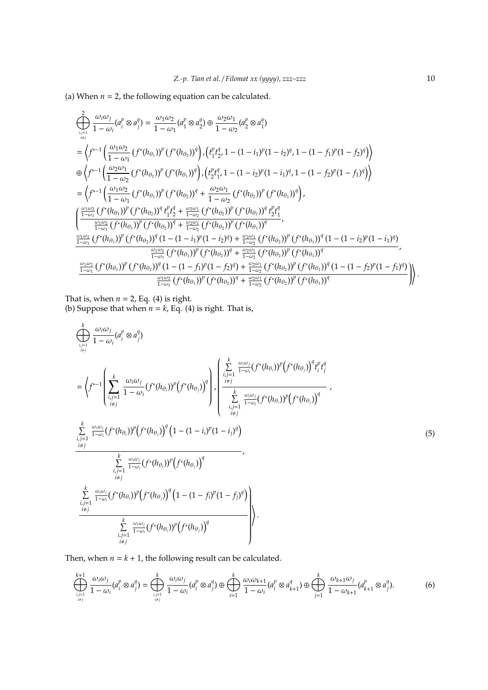(a) When  $n = 2$ , the following equation can be calculated.

$$
\begin{split}\n&\sum_{i,j=1 \atop i\neq j} \frac{\omega_i \omega_j}{1 - \omega_i} (a_i^p \otimes a_j^q) = \frac{\omega_1 \omega_2}{1 - \omega_1} (a_1^p \otimes a_2^q) \oplus \frac{\omega_2 \omega_1}{1 - \omega_2} (a_2^p \otimes a_1^q) \\
&= \left\langle f^{*-1} \left( \frac{\omega_1 \omega_2}{1 - \omega_1} \left( f^*(h_{\theta_1}) \right)^p \left( f^*(h_{\theta_2}) \right)^q \right), \left( f_1^p f_2^q, 1 - (1 - i_1)^p (1 - i_2)^q, 1 - (1 - f_1)^p (1 - f_2)^q \right) \right\rangle \\
& \oplus \left\langle f^{*-1} \left( \frac{\omega_2 \omega_1}{1 - \omega_2} \left( f^*(h_{\theta_2}) \right)^p \left( f^*(h_{\theta_1}) \right)^q \right), \left( f_2^p f_1^q, 1 - (1 - i_2)^p (1 - i_1)^q, 1 - (1 - f_2)^p (1 - f_1)^q \right) \right\rangle \\
&= \left\langle f^{*-1} \left( \frac{\omega_1 \omega_2}{1 - \omega_1} \left( f^*(h_{\theta_1}) \right)^p \left( f^*(h_{\theta_2}) \right)^q + \frac{\omega_2 \omega_1}{1 - \omega_2} \left( f^*(h_{\theta_2}) \right)^p \left( f^*(h_{\theta_1}) \right)^q \right), \\
&\left( \frac{\frac{\omega_1 \omega_2}{1 - \omega_1} \left( f^*(h_{\theta_1}) \right)^p \left( f^*(h_{\theta_2}) \right)^q \left( f^*(h_{\theta_2}) \right)^p \left( f^*(h_{\theta_2}) \right)^p \left( f^*(h_{\theta_1}) \right)^q \left( f^*(h_{\theta_1}) \right)^q \right. \\
&\left. \left( \frac{\frac{\omega_1 \omega_2}{1 - \omega_1} \left( f^*(h_{\theta_1}) \right)^p \left( f^*(h_{\theta_2}) \right)^q \left( f^*(h_{\theta_2}) \right)^p \left( f^*(h_{\theta_2}) \right)^p \left( f^*(h_{\theta_1}) \right)^q \right. \\
&\left.
$$

That is, when  $n = 2$ , Eq. (4) is right.

(b) Suppose that when  $n = k$ , Eq. (4) is right. That is,

$$
\sum_{\substack{i,j=1 \ i \neq j}}^{k} \frac{\omega_i \omega_j}{1 - \omega_i} (a_i^p \otimes a_j^q)
$$
\n
$$
= \left\langle f^{*-1} \left( \sum_{\substack{i,j=1 \ i \neq j}}^k \frac{\omega_i \omega_j}{1 - \omega_i} (f^*(h_{\theta_i}))^p (f^*(h_{\theta_j}))^q \right) \right\rangle \left\langle \sum_{\substack{i,j=1 \ i \neq j}}^k \frac{\omega_i \omega_j}{1 - \omega_i} (f^*(h_{\theta_i}))^p (f^*(h_{\theta_j}))^q \right\rangle / \sum_{\substack{i,j=1 \ i \neq j}}^k \frac{\omega_i \omega_j}{1 - \omega_i} (f^*(h_{\theta_i}))^p (f^*(h_{\theta_j}))^q
$$
\n
$$
\sum_{\substack{i,j=1 \ i \neq j}}^k \frac{\omega_i \omega_j}{1 - \omega_i} (f^*(h_{\theta_i}))^p (f^*(h_{\theta_j}))^q (1 - (1 - i_i)^p (1 - i_j)^q)
$$
\n
$$
\sum_{\substack{i,j=1 \ i \neq j}}^k \frac{\omega_i \omega_j}{1 - \omega_i} (f^*(h_{\theta_i}))^p (f^*(h_{\theta_j}))^q
$$
\n
$$
\sum_{\substack{i,j=1 \ i \neq j}}^k \frac{\omega_i \omega_j}{1 - \omega_i} (f^*(h_{\theta_i}))^p (f^*(h_{\theta_j}))^q (1 - (1 - f_i)^p (1 - f_j)^q)
$$
\n
$$
\sum_{\substack{i,j=1 \ i \neq j}}^k \frac{\omega_i \omega_j}{1 - \omega_i} (f^*(h_{\theta_i}))^p (f^*(h_{\theta_j}))^q
$$
\n
$$
\sum_{\substack{i,j=1 \ i \neq j}}^k (f^*(h_{\theta_i}))^p (f^*(h_{\theta_j}))^q
$$

Then, when  $n = k + 1$ , the following result can be calculated.

$$
\bigoplus_{i,j=1 \atop i\neq j}^{k+1} \frac{\omega_i \omega_j}{1-\omega_i} (a_i^p \otimes a_j^q) = \bigoplus_{i,j=1 \atop i\neq j}^k \frac{\omega_i \omega_j}{1-\omega_i} (a_i^p \otimes a_j^q) \oplus \bigoplus_{i=1}^k \frac{\omega_i \omega_{k+1}}{1-\omega_i} (a_i^p \otimes a_{k+1}^q) \oplus \bigoplus_{j=1}^k \frac{\omega_{k+1} \omega_j}{1-\omega_{k+1}} (a_{k+1}^p \otimes a_j^q).
$$
(6)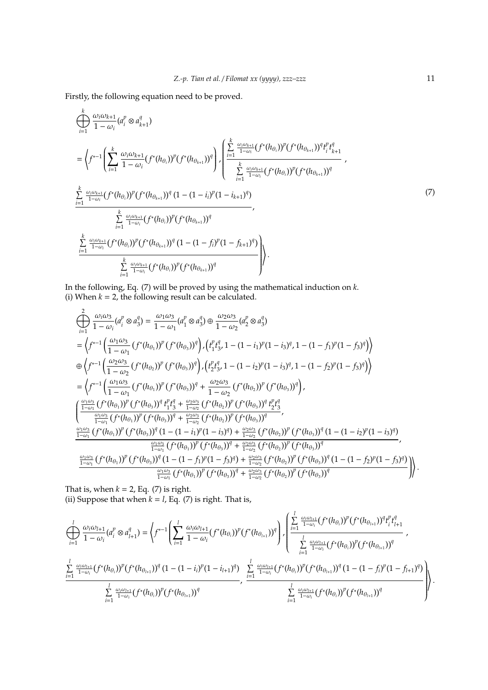Firstly, the following equation need to be proved.

$$
\begin{split}\n&\left(\sum_{i=1}^{k} \frac{\omega_{i}\omega_{k+1}}{1-\omega_{i}} (a_{i}^{p} \otimes a_{k+1}^{q})\right. \\
&=\left\langle f^{*-1} \left( \sum_{i=1}^{k} \frac{\omega_{i}\omega_{k+1}}{1-\omega_{i}} (f^{*}(h_{\theta_{i}}))^{p} (f^{*}(h_{\theta_{k+1}}))^{q} \right) \right\rangle \left\langle \frac{\sum_{i=1}^{k} \frac{\omega_{i}\omega_{k+1}}{1-\omega_{i}} (f^{*}(h_{\theta_{i}}))^{p} (f^{*}(h_{\theta_{k+1}}))^{q} t_{i}^{p} t_{k+1}^{q}}{k} \right. \\
&\left. \sum_{i=1}^{k} \frac{\omega_{i}\omega_{k+1}}{1-\omega_{i}} (f^{*}(h_{\theta_{i}}))^{p} (f^{*}(h_{\theta_{k+1}}))^{q} (1 - (1 - i_{i})^{p} (1 - i_{k+1})^{q}) \right. \\
&\left. \sum_{i=1}^{k} \frac{\omega_{i}\omega_{k+1}}{1-\omega_{i}} (f^{*}(h_{\theta_{i}}))^{p} (f^{*}(h_{\theta_{k+1}}))^{q} (1 - (1 - i_{i})^{p} (1 - i_{k+1})^{q}) \right. \\
&\left. \sum_{i=1}^{k} \frac{\omega_{i}\omega_{k+1}}{1-\omega_{i}} (f^{*}(h_{\theta_{i}}))^{p} (f^{*}(h_{\theta_{k+1}}))^{q} (1 - (1 - f_{i})^{p} (1 - f_{k+1})^{q}) \right) \right\rangle \\
&\left. \sum_{i=1}^{k} \frac{\omega_{i}\omega_{k+1}}{1-\omega_{i}} (f^{*}(h_{\theta_{i}}))^{p} (f^{*}(h_{\theta_{k+1}}))^{q} (1 - (1 - f_{i})^{p} (1 - f_{k+1})^{q}) \right) \right\rangle.\n\end{split}
$$

In the following, Eq. (7) will be proved by using the mathematical induction on *k*. (i) When  $k = 2$ , the following result can be calculated.

$$
\begin{split}\n&\bigoplus_{i=1}^{2} \frac{\omega_{i}\omega_{3}}{1-\omega_{i}} (a_{i}^{p} \otimes a_{3}^{q}) = \frac{\omega_{1}\omega_{3}}{1-\omega_{1}} (a_{1}^{p} \otimes a_{3}^{q}) \oplus \frac{\omega_{2}\omega_{3}}{1-\omega_{2}} (a_{2}^{p} \otimes a_{3}^{q}) \\
&= \left\langle f^{*-1} \left( \frac{\omega_{1}\omega_{3}}{1-\omega_{1}} (f^{*}(h_{\theta_{1}}))^{p} (f^{*}(h_{\theta_{3}}))^{q} \right), \left( t_{1}^{p} t_{3}^{q}, 1 - (1 - i_{1})^{p} (1 - i_{3})^{q}, 1 - (1 - f_{1})^{p} (1 - f_{3})^{q} \right) \right\rangle \\
&\oplus \left\langle f^{*-1} \left( \frac{\omega_{2}\omega_{3}}{1-\omega_{2}} (f^{*}(h_{\theta_{2}}))^{p} (f^{*}(h_{\theta_{3}}))^{q} \right), \left( t_{2}^{p} t_{3}^{q}, 1 - (1 - i_{2})^{p} (1 - i_{3})^{q}, 1 - (1 - f_{2})^{p} (1 - f_{3})^{q} \right) \right\rangle \\
&= \left\langle f^{*-1} \left( \frac{\omega_{1}\omega_{3}}{1-\omega_{1}} (f^{*}(h_{\theta_{1}}))^{p} (f^{*}(h_{\theta_{3}}))^{q} + \frac{\omega_{2}\omega_{3}}{1-\omega_{2}} (f^{*}(h_{\theta_{2}}))^{p} (f^{*}(h_{\theta_{3}}))^{q} \right), \\
&\left( \frac{\frac{\omega_{1}\omega_{3}}{1-\omega_{1}} (f^{*}(h_{\theta_{1}}))^{p} (f^{*}(h_{\theta_{3}}))^{q} t_{1}^{p} t_{3}^{q} + \frac{\omega_{2}\omega_{3}}{1-\omega_{2}} (f^{*}(h_{\theta_{2}}))^{p} (f^{*}(h_{\theta_{3}}))^{q} t_{2}^{p} t_{3}^{q}}{1 - \omega_{1}} \right. \\
&\left. \frac{\omega_{1}\omega_{3}}{1-\omega_{1}} (f^{*}(h_{\theta_{1}}))^{p} (f^{*}(h_{\theta_{3}}))^{q} + \frac{\omega_{2}\omega_{3}}{1-\omega_{2}} (f^{*}(h_{\theta_{2
$$

That is, when  $k = 2$ , Eq. (7) is right. (ii) Suppose that when  $k = l$ , Eq. (7) is right. That is,

$$
\sum_{i=1}^{l} \frac{\omega_{i}\omega_{l+1}}{1-\omega_{i}} (a_{i}^{p} \otimes a_{l+1}^{q}) = \left\langle f^{*-1} \left( \sum_{i=1}^{l} \frac{\omega_{i}\omega_{l+1}}{1-\omega_{i}} (f^{*}(h_{\theta_{i}}))^{p} (f^{*}(h_{\theta_{i+1}}))^{q} \right) \right\rangle \left\langle \frac{\sum_{i=1}^{l} \frac{\omega_{i}\omega_{l+1}}{1-\omega_{i}} (f^{*}(h_{\theta_{i}}))^{p} (f^{*}(h_{\theta_{i+1}}))^{q} t_{i}^{p} t_{l+1}^{q}}{\sum_{i=1}^{l} \frac{\omega_{i}\omega_{l+1}}{1-\omega_{i}} (f^{*}(h_{\theta_{i}}))^{p} (f^{*}(h_{\theta_{i+1}}))^{q}} \right\rangle \right\rangle
$$
\n
$$
\frac{\sum_{i=1}^{l} \frac{\omega_{i}\omega_{l+1}}{1-\omega_{i}} (f^{*}(h_{\theta_{i}}))^{p} (f^{*}(h_{\theta_{i+1}}))^{q}}{\sum_{i=1}^{l} \frac{\omega_{i}\omega_{l+1}}{1-\omega_{i}} (f^{*}(h_{\theta_{i}}))^{p} (f^{*}(h_{\theta_{i+1}}))^{q}} \right\rangle}{\sum_{i=1}^{l} \frac{\omega_{i}\omega_{l+1}}{1-\omega_{i}} (f^{*}(h_{\theta_{i}}))^{p} (f^{*}(h_{\theta_{i+1}}))^{q}} \right\rangle}
$$

.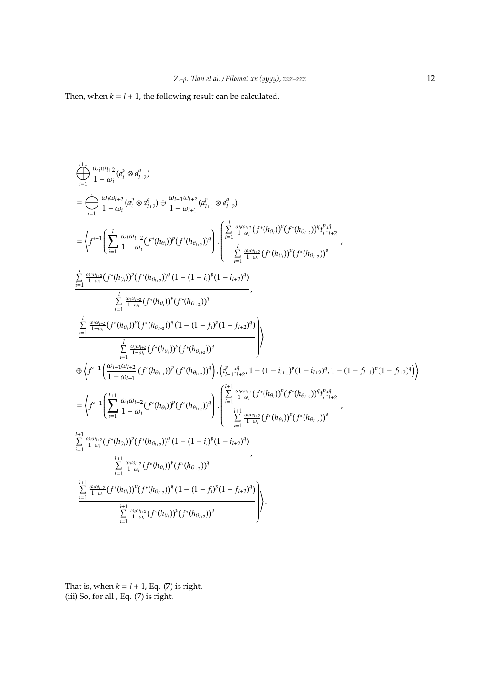Then, when  $k = l + 1$ , the following result can be calculated.

$$
\begin{split}\n&\sum_{i=1}^{l+1} \frac{\omega_{i}\omega_{l+2}}{1-\omega_{i}}(a_{i}^{p} \otimes a_{l+2}^{q}) \\
&= \bigg( \int_{i=1}^{l} \frac{\omega_{i}\omega_{l+2}}{1-\omega_{i}}(a_{i}^{p} \otimes a_{l+2}^{q}) \oplus \frac{\omega_{l+1}\omega_{l+2}}{1-\omega_{l+1}}(a_{l+1}^{p} \otimes a_{l+2}^{q}) \\
&= \left( f^{*-1} \Bigg( \sum_{i=1}^{l} \frac{\omega_{i}\omega_{l+2}}{1-\omega_{i}} (f^{*}(h_{\theta_{i}}))^{p} (f^{*}(h_{\theta_{i+2}}))^{q} \Bigg) \cdot \begin{cases} \sum_{i=1}^{l} \frac{\omega_{i}\omega_{l+2}}{1-\omega_{i}} (f^{*}(h_{\theta_{i}}))^{p} (f^{*}(h_{\theta_{i+2}}))^{q} f^{p} f^{q} \\
&\sum_{i=1}^{l} \frac{\omega_{i}\omega_{l+2}}{1-\omega_{i}} (f^{*}(h_{\theta_{i}}))^{p} (f^{*}(h_{\theta_{i+2}}))^{q} \end{cases} , \\
&\sum_{i=1}^{l} \frac{\omega_{i}\omega_{l+2}}{1-\omega_{i}} (f^{*}(h_{\theta_{i}}))^{p} (f^{*}(h_{\theta_{i+2}}))^{q} (1 - (1 - i_{i})^{p} (1 - i_{l+2})^{q}) \\
&\sum_{i=1}^{l} \frac{\omega_{i}\omega_{l+2}}{1-\omega_{i}} (f^{*}(h_{\theta_{i}}))^{p} (f^{*}(h_{\theta_{i+2}}))^{q} \\
&\sum_{i=1}^{l} \frac{\omega_{i}\omega_{l+2}}{1-\omega_{i}} (f^{*}(h_{\theta_{i}}))^{p} (f^{*}(h_{\theta_{i+2}}))^{q} (1 - (1 - f_{i})^{p} (1 - f_{i+2})^{q}) \\
&\sum_{i=1}^{l} \frac{\omega_{i}\omega_{l+2}}{1-\omega_{i}} (f^{*}(h_{\theta_{i}}))^{p} (f^{*}(h_{\theta_{i+2}}))^{q} \Bigg) \cdot \left( \int_{i_{i+1}^{p} f^{q} + 2}^{1} (1 - (1 - i_{i+1})^{p}
$$

That is, when  $k = l + 1$ , Eq. (7) is right. (iii) So, for all , Eq. (7) is right.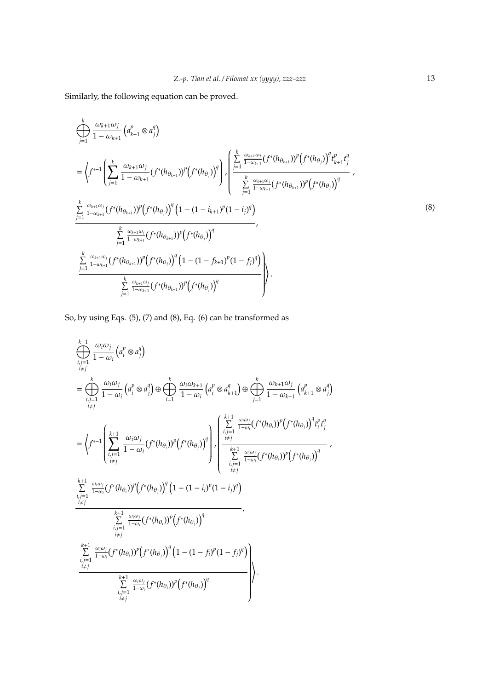Similarly, the following equation can be proved.

$$
\oint_{j=1}^{k} \frac{\omega_{k+1}\omega_{j}}{1 - \omega_{k+1}} \left( a_{k+1}^{p} \otimes a_{j}^{q} \right)
$$
\n
$$
= \left\langle f^{*-1} \left( \sum_{j=1}^{k} \frac{\omega_{k+1}\omega_{j}}{1 - \omega_{k+1}} (f^{*}(h_{\theta_{k+1}}))^{p} \left( f^{*}(h_{\theta_{j}}) \right)^{q} \right) \right\rangle \left\langle \frac{\sum_{j=1}^{k} \frac{\omega_{k+1}\omega_{j}}{1 - \omega_{k+1}} (f^{*}(h_{\theta_{k+1}}))^{p} \left( f^{*}(h_{\theta_{j}}) \right)^{q} t_{k+1}^{p} t_{j}^{q}}{\sum_{j=1}^{k} \frac{\omega_{k+1}\omega_{j}}{1 - \omega_{k+1}} (f^{*}(h_{\theta_{k+1}}))^{p} \left( f^{*}(h_{\theta_{j}}) \right)^{q}} \right\rangle
$$
\n
$$
\frac{\sum_{j=1}^{k} \frac{\omega_{k+1}\omega_{j}}{1 - \omega_{k+1}} (f^{*}(h_{\theta_{k+1}}))^{p} \left( f^{*}(h_{\theta_{j}}) \right)^{q} \left( 1 - (1 - i_{k+1})^{p} (1 - i_{j})^{q} \right)}{\sum_{j=1}^{k} \frac{\omega_{k+1}\omega_{j}}{1 - \omega_{k+1}} (f^{*}(h_{\theta_{k+1}}))^{p} \left( f^{*}(h_{\theta_{j}}) \right)^{q}} \right\rangle,
$$
\n
$$
\frac{\sum_{j=1}^{k} \frac{\omega_{k+1}\omega_{j}}{1 - \omega_{k+1}} (f^{*}(h_{\theta_{k+1}}))^{p} \left( f^{*}(h_{\theta_{j}}) \right)^{q} \left( 1 - (1 - f_{k+1})^{p} (1 - f_{j})^{q} \right)}{\sum_{j=1}^{k} \frac{\omega_{k+1}\omega_{j}}{1 - \omega_{k+1}} (f^{*}(h_{\theta_{k+1}}))^{p} \left( f^{*}(h_{\theta_{j}}) \right)^{q}}
$$
\n
$$
\left\langle f^{*}(h_{\theta_{j}}) \right\rangle.
$$
\n
$$
(8)
$$

So, by using Eqs. (5), (7) and (8), Eq. (6) can be transformed as

$$
\begin{split}\n&\sum_{\substack{i,j=1\\i\neq j}}^{k+1} \frac{\omega_i \omega_j}{1-\omega_i} \left( a_i^p \otimes a_j^q \right) \\
&= \bigoplus_{\substack{i,j=1\\i\neq j}}^k \frac{\omega_i \omega_j}{1-\omega_i} \left( a_i^p \otimes a_j^q \right) \oplus \bigoplus_{i=1}^k \frac{\omega_i \omega_{k+1}}{1-\omega_i} \left( a_i^p \otimes a_{k+1}^q \right) \oplus \bigoplus_{j=1}^k \frac{\omega_{k+1} \omega_j}{1-\omega_{k+1}} \left( a_{k+1}^p \otimes a_j^q \right) \\
&= \left\langle f^{*-1} \left( \sum_{\substack{i,j=1\\i\neq j}}^{k+1} \frac{\omega_i \omega_j}{1-\omega_i} (f^*(h_{\theta_i}))^p \left( f^*(h_{\theta_j}) \right)^q \right) \right| \left. \begin{cases}\n\sum_{\substack{i,j=1\\i,j=1}}^{k+1} \frac{\omega_i \omega_j}{1-\omega_i} (f^*(h_{\theta_i}))^p \left( f^*(h_{\theta_j}) \right)^q f^*_{i} f^*_{j} \\
&\sum_{\substack{i,j=1\\i\neq j}}^{k+1} \frac{\omega_i \omega_j}{1-\omega_i} (f^*(h_{\theta_i}))^p \left( f^*(h_{\theta_j}) \right)^q \left( 1 - (1-i_i)^p (1-i_j)^q \right) \\
&\sum_{\substack{i,j=1\\i\neq j}}^{k+1} \frac{\omega_i \omega_j}{1-\omega_i} (f^*(h_{\theta_i}))^p \left( f^*(h_{\theta_j}) \right)^q \left( 1 - (1-f_i)^p (1-f_j)^q \right) \\
&\sum_{\substack{i,j=1\\i\neq j}}^{k+1} \frac{\omega_i \omega_j}{1-\omega_i} (f^*(h_{\theta_i}))^p \left( f^*(h_{\theta_j}) \right)^q \left( 1 - (1-f_i)^p (1-f_j)^q \right) \\
&\sum_{\substack{i,j=1\\i\neq j}}^{k+1} \frac{\omega_i \omega_j}{1-\omega_i} (f^*(h_{\theta_i}))^p \left( f^*(h_{\theta_j}) \right)^q\n\end{cases}.\n\end{split}
$$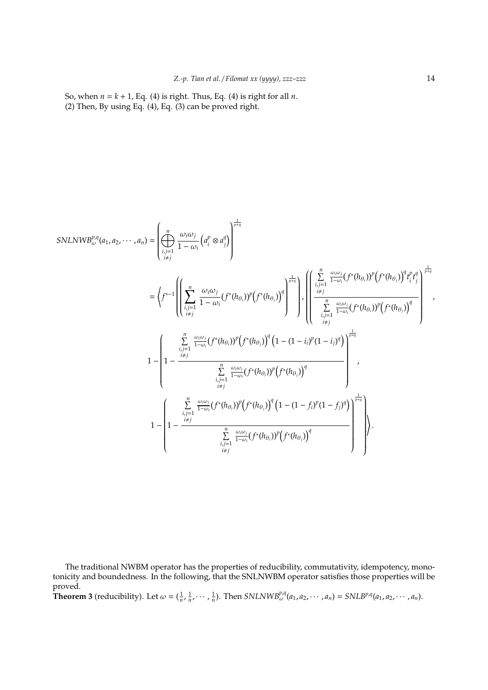So, when  $n = k + 1$ , Eq. (4) is right. Thus, Eq. (4) is right for all *n*. (2) Then, By using Eq.  $(4)$ , Eq.  $(3)$  can be proved right.

$$
SNLNWB_{\omega}^{p,q}(a_{1}, a_{2}, \cdots, a_{n}) = \left(\bigoplus_{\substack{i,j=1 \ i \neq j}}^{n} \frac{\omega_{i}\omega_{j}}{1-\omega_{i}} \left(a_{i}^{p} \otimes a_{j}^{q}\right)\right)^{\frac{1}{p+q}}
$$
\n
$$
= \left\langle f^{*-1} \left( \left(\sum_{\substack{i,j=1 \ i \neq j}}^{n} \frac{\omega_{i}\omega_{j}}{1-\omega_{i}} (f^{*}(h_{\theta_{i}}))^{p} \left(f^{*}(h_{\theta_{j}})\right)^{q} \right)^{\frac{1}{p+q}} \right) \cdot \left(\left(\sum_{\substack{i,j=1 \ i \neq j}}^{n} \frac{\omega_{i}\omega_{i}}{1-\omega_{i}} (f^{*}(h_{\theta_{i}}))^{p} \left(f^{*}(h_{\theta_{j}})\right)^{q} \right)^{\frac{1}{p+q}} \right)^{\frac{1}{p+q}}
$$
\n
$$
1 - \left(1 - \frac{\sum_{\substack{i,j=1 \ i \neq j}}^{n} \frac{\omega_{i}\omega_{i}}{1-\omega_{i}} (f^{*}(h_{\theta_{i}}))^{p} \left(f^{*}(h_{\theta_{j}})\right)^{q} \left(1 - (1-i_{i})^{p} (1-i_{j})^{q}\right) \right)^{\frac{1}{p+q}}
$$
\n
$$
1 - \left(1 - \frac{\sum_{\substack{i,j=1 \ i \neq j}}^{n} \frac{\omega_{i}\omega_{i}}{1-\omega_{i}} (f^{*}(h_{\theta_{i}}))^{p} \left(f^{*}(h_{\theta_{j}})\right)^{q} \left(1 - (1-f_{i})^{p} (1-i_{j})^{q}\right)\right)^{\frac{1}{p+q}}
$$
\n
$$
1 - \left(1 - \frac{\sum_{\substack{i,j=1 \ i \neq j}}^{n} \frac{\omega_{i}\omega_{i}}{1-\omega_{i}} (f^{*}(h_{\theta_{i}}))^{p} \left(f^{*}(h_{\theta_{j}})\right)^{q} \left(1 - (1-f_{i})^{p} (1-f_{j})^{q}\right)\right)^{\frac{1}{p+q}}
$$
\n
$$
1 - \left(1 - \frac{\sum_{\substack{i,j=1 \ i \neq j}}^{n} \frac{\omega_{i}\omega_{i}}{1-\omega_{i}} (f^{
$$

The traditional NWBM operator has the properties of reducibility, commutativity, idempotency, monotonicity and boundedness. In the following, that the SNLNWBM operator satisfies those properties will be proved.

**Theorem 3** (reducibility). Let  $\omega = (\frac{1}{n}, \frac{1}{n}, \cdots, \frac{1}{n})$ . Then  $SNLNWB_{\omega}^{p,q}(a_1, a_2, \cdots, a_n) = SNLB^{p,q}(a_1, a_2, \cdots, a_n)$ .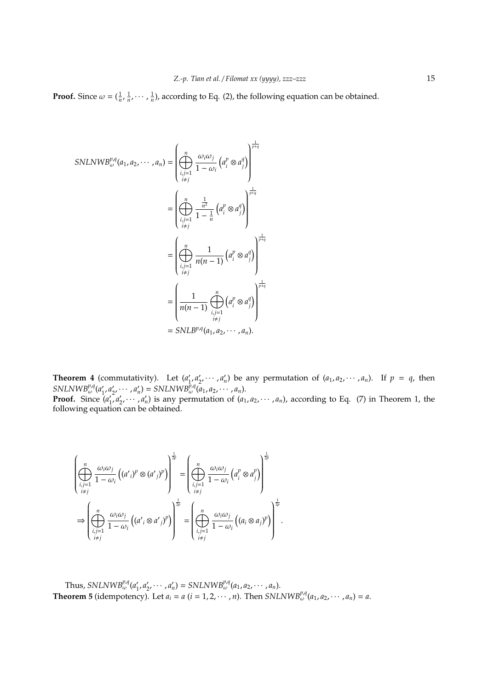**Proof.** Since  $\omega = (\frac{1}{n}, \frac{1}{n}, \cdots, \frac{1}{n})$ , according to Eq. (2), the following equation can be obtained.

$$
SNLNWB_{\omega}^{p,q}(a_1, a_2, \cdots, a_n) = \left(\bigoplus_{\substack{i,j=1 \ i \neq j}}^n \frac{\omega_i \omega_j}{1 - \omega_i} \left(a_i^p \otimes a_j^q\right)\right)^{\frac{1}{p+q}}
$$

$$
= \left(\bigoplus_{\substack{i,j=1 \ i \neq j}}^n \frac{\frac{1}{n^2}}{1 - \frac{1}{n}} \left(a_i^p \otimes a_j^q\right)\right)^{\frac{1}{p+q}}
$$

$$
= \left(\bigoplus_{\substack{i,j=1 \ i \neq j}}^n \frac{1}{n(n-1)} \left(a_i^p \otimes a_j^q\right)\right)^{\frac{1}{p+q}}
$$

$$
= \left(\frac{1}{n(n-1)} \bigoplus_{\substack{i,j=1 \ i \neq j}}^n \left(a_i^p \otimes a_j^q\right)\right)^{\frac{1}{p+q}}
$$

$$
= SNL B^{p,q}(a_1, a_2, \cdots, a_n).
$$

**Theorem 4** (commutativity). Let  $(a'_1)$  $\int_{1}^{1} a_{2}^{q} \cdots a_{n}^{q}$  be any permutation of  $(a_{1}, a_{2}, \cdots, a_{n})$ . If  $p = q$ , then  $SNLNWB<sub>\omega</sub><sup>p,q</sup>(a'_1)$  $A'_1, a'_2, \cdots, a'_n$  = *SNLNWB*<sup> $\hat{p}, q$ </sup> $(a_1, a_2, \cdots, a_n)$ . **Proof.** Since  $\overline{(a'_1)}$  $\int_1^r a'_2, \dots, a'_n$  is any permutation of  $(a_1, a_2, \dots, a_n)$ , according to Eq. (7) in Theorem 1, the following equation can be obtained.

$$
\left(\bigoplus_{\substack{i,j=1 \ i\neq j}}^n \frac{\omega_i \omega_j}{1-\omega_i} \left((a'_i)^p \otimes (a'_j)^p\right)\right)^{\frac{1}{2p}} = \left(\bigoplus_{\substack{i,j=1 \ i\neq j}}^n \frac{\omega_i \omega_j}{1-\omega_i} \left(a''_i \otimes a''_j\right)\right)^{\frac{1}{2p}} \n\Rightarrow \left(\bigoplus_{\substack{i,j=1 \ i\neq j}}^n \frac{\omega_i \omega_j}{1-\omega_i} \left((a'_i \otimes a'_j)^p\right)\right)^{\frac{1}{2p}} = \left(\bigoplus_{\substack{i,j=1 \ i\neq j}}^n \frac{\omega_i \omega_j}{1-\omega_i} \left((a_i \otimes a_j)^p\right)\right)^{\frac{1}{2p}}.
$$

Thus,  $SNLNWB_{\omega}^{p,q}(a^{\prime})$  $\alpha'_{1}, a'_{2}, \cdots, a'_{n}$  = *SNLNWB*<sup>p,q</sup><sub>ω</sub> $(a_{1}, a_{2}, \cdots, a_{n})$ . **Theorem 5** (idempotency). Let  $a_i = a$  ( $i = 1, 2, \cdots, n$ ). Then *SNLNWB*<sup>*p*,*q*</sup><sub>( $a_1, a_2, \cdots, a_n$ ) = *a*.</sub>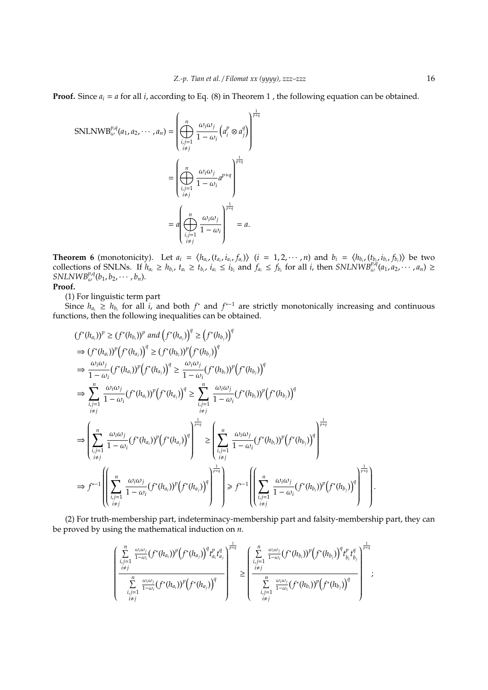**Proof.** Since  $a_i = a$  for all *i*, according to Eq. (8) in Theorem 1, the following equation can be obtained.

$$
\text{SNLNWB}_{\omega}^{p,q}(a_1, a_2, \cdots, a_n) = \left(\bigoplus_{\substack{i,j=1 \ i \neq j}}^n \frac{\omega_i \omega_j}{1 - \omega_i} \left(a_i^p \otimes a_j^q\right)\right)^{\frac{1}{p+q}} \n= \left(\bigoplus_{\substack{i,j=1 \ i \neq j}}^n \frac{\omega_i \omega_j}{1 - \omega_i} a^{p+q}\right)^{\frac{1}{p+q}} \n= a \left(\bigoplus_{\substack{i,j=1 \ i \neq j}}^n \frac{\omega_i \omega_j}{1 - \omega_i}\right)^{\frac{1}{p+q}} = a.
$$

**Theorem 6** (monotonicity). Let  $a_i = \langle h_{a_i}, (t_{a_i}, i_{a_i}, f_{a_i}) \rangle$   $(i = 1, 2, \cdots, n)$  and  $b_i = \langle h_{b_i}, (t_{b_i}, i_{b_i}, f_{b_i}) \rangle$  be two collections of SNLNs. If  $h_{a_i} \ge h_{b_i}$ ,  $t_{a_i} \ge t_{b_i}$ ,  $i_{a_i} \le i_{b_i}$  and  $f_{a_i} \le f_{b_i}$  for all *i*, then SNLNWB<sup>p,*a*</sup>( $a_1, a_2, \dots, a_n$ )  $\ge$  $SNLNWB^{p,q}_{\omega}(b_1, b_2, \cdots, b_n).$ **Proof.**

(1) For linguistic term part

Since  $h_{a_i} \geq h_{b_i}$  for all *i*, and both  $f^*$  and  $f^{*-1}$  are strictly monotonically increasing and continuous functions, then the following inequalities can be obtained.

$$
(f^{*}(h_{a_{i}}))^{p} \geq (f^{*}(h_{b_{i}}))^{p} \text{ and } (f^{*}(h_{a_{j}}))^{q} \geq (f^{*}(h_{b_{j}}))^{q}
$$
  
\n
$$
\Rightarrow (f^{*}(h_{a_{i}}))^{p}(f^{*}(h_{a_{j}}))^{q} \geq (f^{*}(h_{b_{i}}))^{p}(f^{*}(h_{b_{j}}))^{q}
$$
  
\n
$$
\Rightarrow \frac{\omega_{i}\omega_{j}}{1-\omega_{i}}(f^{*}(h_{a_{i}}))^{p}(f^{*}(h_{a_{j}}))^{q} \geq \frac{\omega_{i}\omega_{j}}{1-\omega_{i}}(f^{*}(h_{b_{i}}))^{p}(f^{*}(h_{b_{j}}))^{q}
$$
  
\n
$$
\Rightarrow \sum_{\substack{i,j=1 \ i \neq j}}^{n} \frac{\omega_{i}\omega_{j}}{1-\omega_{i}}(f^{*}(h_{a_{i}}))^{p}(f^{*}(h_{a_{j}}))^{q} \geq \sum_{\substack{i,j=1 \ i \neq j}}^{n} \frac{\omega_{i}\omega_{j}}{1-\omega_{i}}(f^{*}(h_{b_{i}}))^{p}(f^{*}(h_{b_{j}}))^{q}
$$
  
\n
$$
\Rightarrow \left(\sum_{\substack{i,j=1 \ i \neq j}}^{n} \frac{\omega_{i}\omega_{j}}{1-\omega_{i}}(f^{*}(h_{a_{i}}))^{p}(f^{*}(h_{a_{j}}))^{q}\right)^{\frac{1}{p+q}} \geq \left(\sum_{\substack{i,j=1 \ i \neq j}}^{n} \frac{\omega_{i}\omega_{j}}{1-\omega_{i}}(f^{*}(h_{b_{i}}))^{p}(f^{*}(h_{b_{j}}))^{q}\right)^{\frac{1}{p+q}}
$$
  
\n
$$
\Rightarrow f^{*-1}\left(\left(\sum_{\substack{i,j=1 \ i \neq j}}^{n} \frac{\omega_{i}\omega_{j}}{1-\omega_{i}}(f^{*}(h_{a_{i}}))^{p}(f^{*}(h_{a_{j}}))^{q}\right)^{\frac{1}{p+q}}\right) \geq f^{*-1}\left(\left(\sum_{\substack{i,j=1 \ i \neq j}}^{n} \frac{\omega_{i}\omega_{j}}{1-\omega_{i}}(f^{*}(h_{b_{i}}))^{p}(f^{*}(h_{b_{j}}))^{q}\right)^{\frac
$$

(2) For truth-membership part, indeterminacy-membership part and falsity-membership part, they can be proved by using the mathematical induction on *n*.

$$
\left(\frac{\sum\limits_{\substack{i,j=1\\i\neq j}}^{n}\frac{\omega_i\omega_j}{1-\omega_i}(f^*(h_{a_i}))^p\left(f^*(h_{a_j})\right)^q t_{a_i}^p t_{a_j}^q\right)^{\frac{1}{q+p}}}{\sum\limits_{\substack{i,j=1\\i\neq j}}^{n}\frac{\omega_i\omega_j}{1-\omega_i}(f^*(h_{b_i}))^p\left(f^*(h_{a_j})\right)^q} \ge \left(\frac{\sum\limits_{\substack{i,j=1\\i\neq j}}^{n}\frac{\omega_i\omega_j}{1-\omega_i}(f^*(h_{b_i}))^p\left(f^*(h_{b_j})\right)^q t_{b_i}^p t_{b_j}^q}{\sum\limits_{\substack{i,j=1\\i\neq j}}^{n}\frac{\omega_i\omega_j}{1-\omega_i}(f^*(h_{b_i}))^p\left(f^*(h_{b_j})\right)^q}\right)^{\frac{1}{q+p}}
$$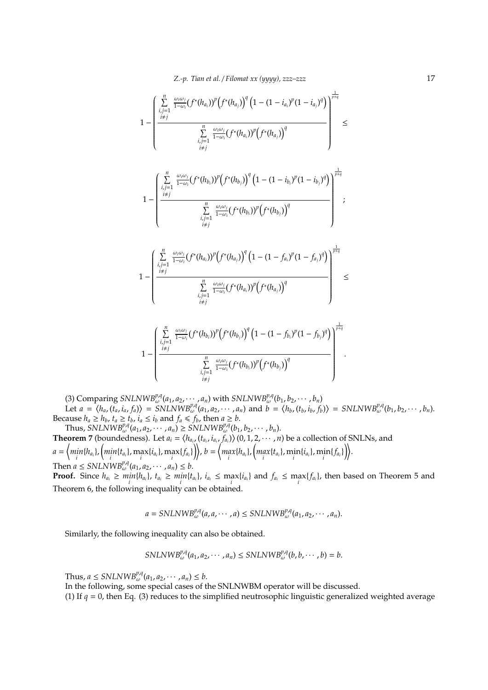$$
1 - \left( \frac{\sum_{\substack{i,j=1 \ i \neq j}}^{n} \frac{\omega_i \omega_j}{1 - \omega_i} (f^*(h_{a_i}))^p (f^*(h_{a_j}))^q (1 - (1 - i_{a_i})^p (1 - i_{a_j})^q)}{\sum_{\substack{i,j=1 \ i \neq j}}^{n} \frac{\omega_i \omega_j}{1 - \omega_i} (f^*(h_{a_i}))^p (f^*(h_{a_j}))^q} \right)^{\frac{1}{p+q}} \leq
$$
  

$$
1 - \left( \frac{\sum_{\substack{i,j=1 \ i \neq j}}^{n} \frac{\omega_i \omega_j}{1 - \omega_i} (f^*(h_{b_i}))^p (f^*(h_{b_j}))^q (1 - (1 - i_{b_i})^p (1 - i_{b_j})^q)}{\sum_{\substack{i,j=1 \ i \neq j}}^{n} \frac{\omega_i \omega_j}{1 - \omega_i} (f^*(h_{b_i}))^p (f^*(h_{b_j}))^q} \right)^{\frac{1}{p+q}}
$$
  

$$
1 - \left( \frac{\sum_{\substack{i,j=1 \ i \neq j}}^{n} \frac{\omega_i \omega_j}{1 - \omega_i} (f^*(h_{a_i}))^p (f^*(h_{a_j}))^q (1 - (1 - f_{a_i})^p (1 - f_{a_j})^q)}{\sum_{\substack{i,j=1 \ i \neq j}}^{n} \frac{\omega_i \omega_j}{1 - \omega_i} (f^*(h_{b_i}))^p (f^*(h_{a_j}))^q} \right)^{\frac{1}{p+q}}
$$
  

$$
1 - \left( \frac{\sum_{\substack{i,j=1 \ i \neq j}}^{n} \frac{\omega_i \omega_j}{1 - \omega_i} (f^*(h_{b_j}))^p (f^*(h_{b_j}))^q (1 - (1 - f_{b_i})^p (1 - f_{b_j})^q)}{\sum_{\substack{i,j=1 \ i \neq j}}^{n} \frac{\omega_i \omega_j}{1 - \omega_i} (f^*(h_{b_i}))^p (f^*(h_{b_j}))^q} \right)^{\frac{1}{p+q}}
$$

(3) Comparing *SNLNWB*<sup>*pA</sup>*( $a_1, a_2, \cdots, a_n$ ) with *SNLNWB*<sup>*pA*</sup>( $b_1, b_2, \cdots, b_n$ )</sup> Let  $a = \langle h_a, (t_a, i_a, f_a) \rangle = \frac{\text{SNLNW}}{\text{B}} \frac{B^{\rho,q}}{a_1, a_2, \cdots, a_n}$  and  $b = \langle h_b, (t_b, i_b, f_b) \rangle = \text{SNLNW} \frac{B^{\rho,q}}{a_0} (b_1, b_2, \cdots, b_n)$ . Because  $h_a \geq h_b$ ,  $t_a \geq t_b$ ,  $i_a \leq i_b$  and  $f_a \leq f_b$ , then  $a \geq b$ .  $\text{Thus, } \text{SNLNWB}_{\omega}^{p,q}(a_1, a_2, \cdots, a_n) \geq \text{SNLNWB}_{\omega}^{p,q}(b_1, b_2, \cdots, b_n).$ 

**Theorem 7** (boundedness). Let  $a_i = \langle h_{a_i}, (t_{a_i}, i_{a_i}, f_{a_i}) \rangle$  (0, 1, 2,  $\cdots$  , n) be a collection of SNLNs, and  $a = \Big\langle \underset{i}{min} \{ h_{a_i} \}, \Big( \underset{i}{min} \{ t_{a_i} \}, \underset{i}{max} \{ i_{a_i} \}, \underset{i}{max} \{ f_{a_i} \} \Big) \Big\rangle, \ b = \Big\langle \underset{i}{max} \{ h_{a_i} \}, \Big( \underset{i}{max} \{ t_{a_i} \}, \underset{i}{min} \{ i_{a_i} \}, \underset{i}{min} \{ f_{a_i} \} \Big) \Big\rangle.$ Then  $a \leq SNLNWB_{\omega}^{p,q}(a_1, a_2, \cdots, a_n) \leq b$ .

*i*,*j*

**Proof.** Since  $h_{a_i} \geq min\{h_{a_i}\}\$ ,  $t_{a_i} \geq min\{t_{a_i}\}\$ ,  $i_{a_i} \leq max\{i_{a_i}\}\$  and  $f_{a_i} \leq max\{f_{a_i}\}\$ , then based on Theorem 5 and Theorem 6, the following inequality can be obtained.

$$
a = \text{SNLNWB}_{\omega}^{p,q}(a,a,\cdots,a) \leq \text{SNLNWB}_{\omega}^{p,q}(a_1,a_2,\cdots,a_n).
$$

Similarly, the following inequality can also be obtained.

$$
SNLNWB^{p,q}_{\omega}(a_1,a_2,\cdots,a_n) \leq SNLNWB^{p,q}_{\omega}(b,b,\cdots,b) = b.
$$

Thus,  $a \leq SNLNWB_{\omega}^{p,q}(a_1, a_2, \cdots, a_n) \leq b$ .

In the following, some special cases of the SNLNWBM operator will be discussed.

(1) If  $q = 0$ , then Eq. (3) reduces to the simplified neutrosophic linguistic generalized weighted average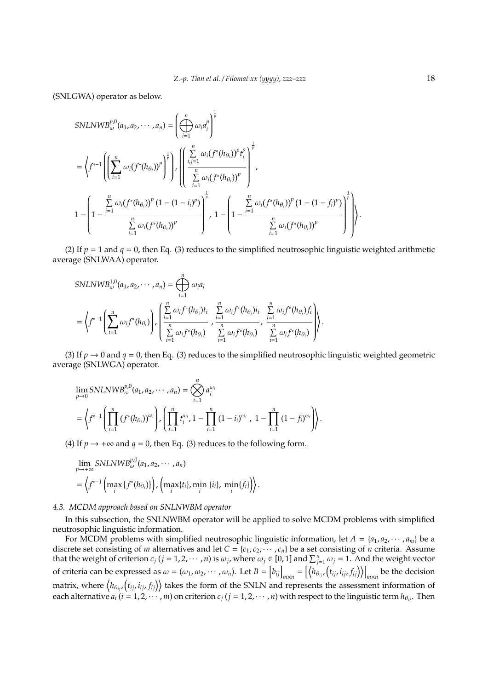(SNLGWA) operator as below.

SNLNWB<sup>p,0</sup><sub>ω</sub>(a<sub>1</sub>, a<sub>2</sub>, · · · , a<sub>n</sub>) = 
$$
\left(\bigoplus_{i=1}^{n} \omega_i a_i^p\right)^{\frac{1}{p}}
$$
  
\n=  $\left\langle f^{*-1}\left(\left(\sum_{i=1}^{n} \omega_i (f^*(h_{\theta_i}))^p\right)^{\frac{1}{p}}\right), \left(\left(\frac{\sum_{i,j=1}^{n} \omega_i (f^*(h_{\theta_i}))^p t_i^p}{\sum_{i=1}^{n} \omega_i (f^*(h_{\theta_i}))^p}\right)^{\frac{1}{p}}\right),$   
\n
$$
1 - \left(1 - \frac{\sum_{i=1}^{n} \omega_i (f^*(h_{\theta_i}))^p (1 - (1 - i_i)^p)}{\sum_{i=1}^{n} \omega_i (f^*(h_{\theta_i}))^p}\right)^{\frac{1}{p}}, 1 - \left(1 - \frac{\sum_{i=1}^{n} \omega_i (f^*(h_{\theta_i}))^p (1 - (1 - f_i)^p)}{\sum_{i=1}^{n} \omega_i (f^*(h_{\theta_i}))^p}\right)^{\frac{1}{p}}\right).
$$

(2) If  $p = 1$  and  $q = 0$ , then Eq. (3) reduces to the simplified neutrosophic linguistic weighted arithmetic average (SNLWAA) operator.

$$
SNLNWB1,0\omega(a1, a2, · · · , an) = \bigoplus_{i=1}^{n} \omega_i a_i
$$
  
=  $\left\langle f^{*-1}\left(\sum_{i=1}^{n} \omega_i f^*(h_{\theta_i})\right), \left(\frac{\sum_{i=1}^{n} \omega_i f^*(h_{\theta_i}) t_i}{\sum_{i=1}^{n} \omega_i f^*(h_{\theta_i})}, \frac{\sum_{i=1}^{n} \omega_i f^*(h_{\theta_i}) t_i}{\sum_{i=1}^{n} \omega_i f^*(h_{\theta_i})}, \frac{\sum_{i=1}^{n} \omega_i f^*(h_{\theta_i}) f_i}{\sum_{i=1}^{n} \omega_i f^*(h_{\theta_i})}\right)\right\rangle.$ 

(3) If  $p \to 0$  and  $q = 0$ , then Eq. (3) reduces to the simplified neutrosophic linguistic weighted geometric average (SNLWGA) operator.

$$
\begin{split} &\lim_{p\to 0} SNLNWB^{p,0}_{\omega}(a_1,a_2,\cdots,a_n) = \bigotimes_{i=1}^n a_i^{\omega_i} \\ &= \left\langle f^{*-1} \left( \prod_{i=1}^n \left( f^*(h_{\theta_i}) \right)^{\omega_i} \right), \left( \prod_{i=1}^n t_i^{\omega_i}, 1 - \prod_{i=1}^n \left( 1 - i_i \right)^{\omega_i}, \ 1 - \prod_{i=1}^n \left( 1 - f_i \right)^{\omega_i} \right) \right\rangle. \end{split}
$$

(4) If  $p \rightarrow +\infty$  and  $q = 0$ , then Eq. (3) reduces to the following form.

$$
\lim_{p \to +\infty} SNLNWB_{\omega}^{p,0}(a_1, a_2, \cdots, a_n)
$$
\n
$$
= \left\langle f^{*-1}\left(\max_i \{f^*(h_{\theta_i})\}\right), \left(\max_i \{t_i\}, \min_i \{i_i\}, \min_i \{f_i\}\right) \right\rangle.
$$

#### *4.3. MCDM approach based on SNLNWBM operator*

In this subsection, the SNLNWBM operator will be applied to solve MCDM problems with simplified neutrosophic linguistic information.

For MCDM problems with simplified neutrosophic linguistic information, let  $A = \{a_1, a_2, \dots, a_m\}$  be a discrete set consisting of *m* alternatives and let  $C = \{c_1, c_2, \dots, c_n\}$  be a set consisting of *n* criteria. Assume that the weight of criterion  $c_j$  ( $j = 1, 2, \cdots, n$ ) is  $\omega_j$ , where  $\omega_j \in [0, 1]$  and  $\sum_{j=1}^n \omega_j = 1$ . And the weight vector of criteria can be expressed as  $\omega = (\omega_1, \omega_2, \cdots, \omega_n)$ . Let  $B = [b_{ij}]_{m \times n} = [\langle h_{\theta_{ij}}, (t_{ij}, i_{ij}, f_{ij}) \rangle]_{m \times n}$  be the decision matrix, where  $\big\langle h_{\theta_{ij}} , \big(t_{ij},i_{ij},f_{ij}\big)\big\rangle$  takes the form of the SNLN and represents the assessment information of each alternative  $a_i$  ( $i = 1, 2, \cdots, m$ ) on criterion  $c_j$  ( $j = 1, 2, \cdots, n$ ) with respect to the linguistic term  $h_{\theta_{ij}}$ . Then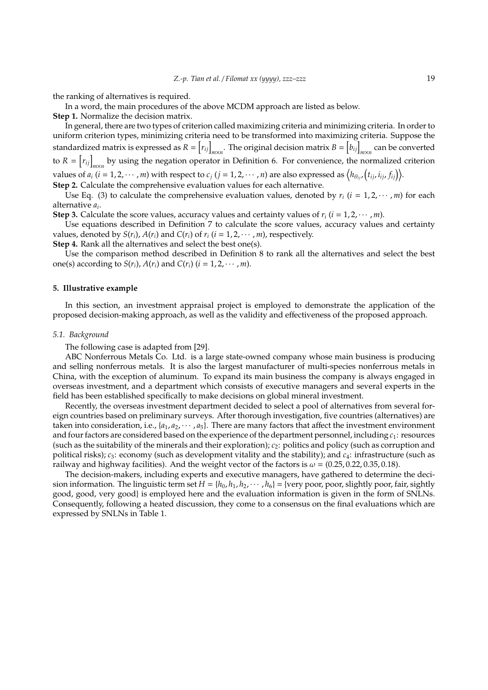the ranking of alternatives is required.

In a word, the main procedures of the above MCDM approach are listed as below.

**Step 1.** Normalize the decision matrix.

In general, there are two types of criterion called maximizing criteria and minimizing criteria. In order to uniform criterion types, minimizing criteria need to be transformed into maximizing criteria. Suppose the standardized matrix is expressed as  $R = \left[ r_{ij} \right]_{m \times n}$ . The original decision matrix  $B = \left[ b_{ij} \right]_{m \times n}$  can be converted to  $R = [r_{ij}]_{m \times n}$  by using the negation operator in Definition 6. For convenience, the normalized criterion values of  $a_i$   $(i = 1, 2, \cdots, m)$  with respect to  $c_j$   $(j = 1, 2, \cdots, n)$  are also expressed as  $\big\langle h_{\theta_{ij}}, (t_{ij}, i_{ij}, f_{ij}) \big\rangle$ . **Step 2.** Calculate the comprehensive evaluation values for each alternative.

Use Eq. (3) to calculate the comprehensive evaluation values, denoted by  $r_i$  ( $i = 1, 2, \cdots, m$ ) for each alternative *a<sup>i</sup>* .

**Step 3.** Calculate the score values, accuracy values and certainty values of  $r_i$  ( $i = 1, 2, \cdots, m$ ).

Use equations described in Definition 7 to calculate the score values, accuracy values and certainty values, denoted by  $S(r_i)$ ,  $A(r_i)$  and  $C(r_i)$  of  $r_i$  ( $i = 1, 2, \cdots, m$ ), respectively.

**Step 4.** Rank all the alternatives and select the best one(s).

Use the comparison method described in Definition 8 to rank all the alternatives and select the best one(s) according to  $S(r_i)$ ,  $A(r_i)$  and  $C(r_i)$  ( $i = 1, 2, \cdots, m$ ).

## **5. Illustrative example**

In this section, an investment appraisal project is employed to demonstrate the application of the proposed decision-making approach, as well as the validity and effectiveness of the proposed approach.

## *5.1. Background*

The following case is adapted from [29].

ABC Nonferrous Metals Co. Ltd. is a large state-owned company whose main business is producing and selling nonferrous metals. It is also the largest manufacturer of multi-species nonferrous metals in China, with the exception of aluminum. To expand its main business the company is always engaged in overseas investment, and a department which consists of executive managers and several experts in the field has been established specifically to make decisions on global mineral investment.

Recently, the overseas investment department decided to select a pool of alternatives from several foreign countries based on preliminary surveys. After thorough investigation, five countries (alternatives) are taken into consideration, i.e.,  $\{a_1, a_2, \dots, a_5\}$ . There are many factors that affect the investment environment and four factors are considered based on the experience of the department personnel, including  $c_1$ : resources (such as the suitability of the minerals and their exploration); *c*2: politics and policy (such as corruption and political risks); *c*3: economy (such as development vitality and the stability); and *c*4: infrastructure (such as railway and highway facilities). And the weight vector of the factors is  $\omega = (0.25, 0.22, 0.35, 0.18)$ .

The decision-makers, including experts and executive managers, have gathered to determine the decision information. The linguistic term set  $H = \{h_0, h_1, h_2, \dots, h_6\}$  = {very poor, poor, slightly poor, fair, sightly good, good, very good} is employed here and the evaluation information is given in the form of SNLNs. Consequently, following a heated discussion, they come to a consensus on the final evaluations which are expressed by SNLNs in Table 1.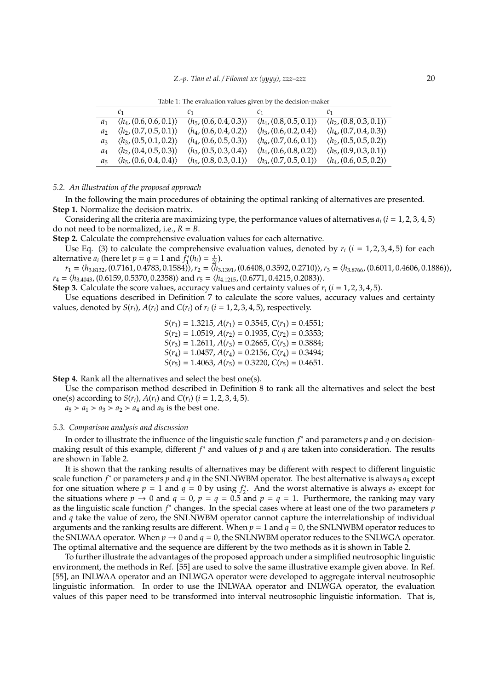*Z.-p. Tian et al.* / *Filomat xx (yyyy), zzz–zzz* 20

Table 1: The evaluation values given by the decision-maker

|         | $c_1$ and $c_2$                        | $c_1$ and $c_2$                        | $c_1$ and $c_1$                        | C <sub>1</sub>                         |
|---------|----------------------------------------|----------------------------------------|----------------------------------------|----------------------------------------|
|         | $\langle h_4, (0.6, 0.6, 0.1) \rangle$ | $\langle h_5, (0.6, 0.4, 0.3) \rangle$ | $\langle h_4, (0.8, 0.5, 0.1) \rangle$ | $\langle h_2, (0.8, 0.3, 0.1) \rangle$ |
| a›      | $\langle h_2, (0.7, 0.5, 0.1) \rangle$ | $\langle h_4, (0.6, 0.4, 0.2) \rangle$ | $\langle h_3, (0.6, 0.2, 0.4) \rangle$ | $\langle h_4, (0.7, 0.4, 0.3) \rangle$ |
| $a_3$   | $\langle h_3, (0.5, 0.1, 0.2) \rangle$ | $\langle h_4, (0.6, 0.5, 0.3) \rangle$ | $\langle h_6, (0.7, 0.6, 0.1) \rangle$ | $\langle h_2, (0.5, 0.5, 0.2) \rangle$ |
| $a_4$   | $\langle h_2, (0.4, 0.5, 0.3) \rangle$ | $\langle h_3, (0.5, 0.3, 0.4) \rangle$ | $\langle h_4, (0.6, 0.8, 0.2) \rangle$ | $\langle h_5, (0.9, 0.3, 0.1) \rangle$ |
| $a_{5}$ | $\langle h_5, (0.6, 0.4, 0.4) \rangle$ | $\langle h_5, (0.8, 0.3, 0.1) \rangle$ | $\langle h_3, (0.7, 0.5, 0.1) \rangle$ | $\langle h_4, (0.6, 0.5, 0.2) \rangle$ |

#### *5.2. An illustration of the proposed approach*

In the following the main procedures of obtaining the optimal ranking of alternatives are presented. **Step 1.** Normalize the decision matrix.

Considering all the criteria are maximizing type, the performance values of alternatives  $a_i$  ( $i = 1, 2, 3, 4, 5$ ) do not need to be normalized, i.e.,  $R = B$ .

**Step 2.** Calculate the comprehensive evaluation values for each alternative.

Use Eq. (3) to calculate the comprehensive evaluation values, denoted by  $r_i$  ( $i = 1, 2, 3, 4, 5$ ) for each alternative  $a_i$  (here let  $p = q = 1$  and  $f_1^*$  $\frac{i}{1}(h_i) = \frac{i}{2t}$ .

*r*<sub>1</sub> = ⟨*h*<sub>3.8132</sub>, (0.7161, 0.4783, 0.1584)⟩, *r*<sub>2</sub> = ⟨</sub>*h*<sub>3.1391</sub>, (0.6408, 0.3592, 0.2710)⟩, *r*<sub>3</sub> = ⟨</sub>*h*<sub>3.8766</sub>, (0.6011, 0.4606, 0.1886)⟩, *r*<sub>4</sub> = ⟨*h*<sub>3.4043</sub>, (0.6159, 0.5370, 0.2358)⟩ and *r*<sub>5</sub> = ⟨</sub>*h*<sub>4.1215</sub>, (0.6771, 0.4215, 0.2083)⟩.

**Step 3.** Calculate the score values, accuracy values and certainty values of  $r_i$  ( $i = 1, 2, 3, 4, 5$ ).

Use equations described in Definition 7 to calculate the score values, accuracy values and certainty values, denoted by  $S(r_i)$ ,  $A(r_i)$  and  $C(r_i)$  of  $r_i$  ( $i = 1, 2, 3, 4, 5$ ), respectively.

> $S(r_1) = 1.3215, A(r_1) = 0.3545, C(r_1) = 0.4551;$  $S(r_2) = 1.0519$ ,  $A(r_2) = 0.1935$ ,  $C(r_2) = 0.3353$ ;  $S(r_3) = 1.2611, A(r_3) = 0.2665, C(r_3) = 0.3884;$  $S(r_4) = 1.0457$ ,  $A(r_4) = 0.2156$ ,  $C(r_4) = 0.3494$ ;  $S(r_5) = 1.4063$ ,  $A(r_5) = 0.3220$ ,  $C(r_5) = 0.4651$ .

**Step 4.** Rank all the alternatives and select the best one(s).

Use the comparison method described in Definition 8 to rank all the alternatives and select the best one(s) according to  $S(r_i)$ ,  $A(r_i)$  and  $C(r_i)$  ( $i = 1, 2, 3, 4, 5$ ).

 $a_5 > a_1 > a_3 > a_2 > a_4$  and  $a_5$  is the best one.

## *5.3. Comparison analysis and discussion*

In order to illustrate the influence of the linguistic scale function *f* <sup>∗</sup> and parameters *p* and *q* on decisionmaking result of this example, different *f* <sup>∗</sup> and values of *p* and *q* are taken into consideration. The results are shown in Table 2.

It is shown that the ranking results of alternatives may be different with respect to different linguistic scale function *f*<sup>∗</sup> or parameters *p* and *q* in the SNLNWBM operator. The best alternative is always *a*<sub>5</sub> except for one situation where  $p = 1$  and  $q = 0$  by using  $f_2^*$ . And the worst alternative is always  $a_2$  except for the situations where  $p \rightarrow 0$  and  $q = 0$ ,  $p = q = 0.5$  and  $p = q = 1$ . Furthermore, the ranking may vary as the linguistic scale function *f* ∗ changes. In the special cases where at least one of the two parameters *p* and *q* take the value of zero, the SNLNWBM operator cannot capture the interrelationship of individual arguments and the ranking results are different. When *p* = 1 and *q* = 0, the SNLNWBM operator reduces to the SNLWAA operator. When  $p \to 0$  and  $q = 0$ , the SNLNWBM operator reduces to the SNLWGA operator. The optimal alternative and the sequence are different by the two methods as it is shown in Table 2.

To further illustrate the advantages of the proposed approach under a simplified neutrosophic linguistic environment, the methods in Ref. [55] are used to solve the same illustrative example given above. In Ref. [55], an INLWAA operator and an INLWGA operator were developed to aggregate interval neutrosophic linguistic information. In order to use the INLWAA operator and INLWGA operator, the evaluation values of this paper need to be transformed into interval neutrosophic linguistic information. That is,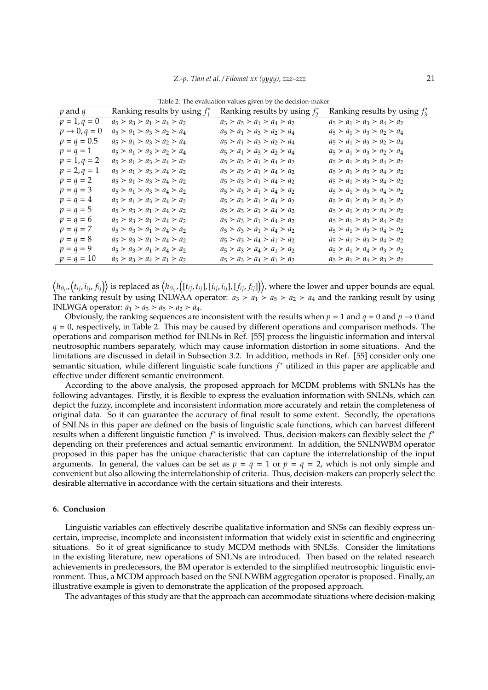| $p$ and $q$              | Ranking results by using $f_1^*$ | Ranking results by using $f_2^*$ | Ranking results by using $f_3^*$ |
|--------------------------|----------------------------------|----------------------------------|----------------------------------|
| $p = 1, q = 0$           | $a_5 > a_3 > a_1 > a_4 > a_2$    | $a_3 > a_5 > a_1 > a_4 > a_2$    | $a_5 > a_1 > a_3 > a_4 > a_2$    |
| $p \rightarrow 0, q = 0$ | $a_5 > a_1 > a_3 > a_2 > a_4$    | $a_5 > a_1 > a_3 > a_2 > a_4$    | $a_5 > a_1 > a_3 > a_2 > a_4$    |
| $p = q = 0.5$            | $a_5 > a_1 > a_3 > a_2 > a_4$    | $a_5 > a_1 > a_3 > a_2 > a_4$    | $a_5 > a_1 > a_3 > a_2 > a_4$    |
| $p = q = 1$              | $a_5 > a_1 > a_3 > a_2 > a_4$    | $a_5 > a_1 > a_3 > a_2 > a_4$    | $a_5 > a_1 > a_3 > a_2 > a_4$    |
| $p = 1, q = 2$           | $a_5 > a_1 > a_3 > a_4 > a_2$    | $a_5 > a_3 > a_1 > a_4 > a_2$    | $a_5 > a_1 > a_3 > a_4 > a_2$    |
| $p = 2, q = 1$           | $a_5 > a_1 > a_3 > a_4 > a_2$    | $a_5 > a_3 > a_1 > a_4 > a_2$    | $a_5 > a_1 > a_3 > a_4 > a_2$    |
| $p = q = 2$              | $a_5 > a_1 > a_3 > a_4 > a_2$    | $a_5 > a_3 > a_1 > a_4 > a_2$    | $a_5 > a_1 > a_3 > a_4 > a_2$    |
| $p = q = 3$              | $a_5 > a_1 > a_3 > a_4 > a_2$    | $a_5 > a_3 > a_1 > a_4 > a_2$    | $a_5 > a_1 > a_3 > a_4 > a_2$    |
| $p = q = 4$              | $a_5 > a_1 > a_3 > a_4 > a_2$    | $a_5 > a_3 > a_1 > a_4 > a_2$    | $a_5 > a_1 > a_3 > a_4 > a_2$    |
| $p = q = 5$              | $a_5 > a_3 > a_1 > a_4 > a_2$    | $a_5 > a_3 > a_1 > a_4 > a_2$    | $a_5 > a_1 > a_3 > a_4 > a_2$    |
| $p = q = 6$              | $a_5 > a_3 > a_1 > a_4 > a_2$    | $a_5 > a_3 > a_1 > a_4 > a_2$    | $a_5 > a_1 > a_3 > a_4 > a_2$    |
| $p = q = 7$              | $a_5 > a_3 > a_1 > a_4 > a_2$    | $a_5 > a_3 > a_1 > a_4 > a_2$    | $a_5 > a_1 > a_3 > a_4 > a_2$    |
| $p = q = 8$              | $a_5 > a_3 > a_1 > a_4 > a_2$    | $a_5 > a_3 > a_4 > a_1 > a_2$    | $a_5 > a_1 > a_3 > a_4 > a_2$    |
| $p = q = 9$              | $a_5 > a_3 > a_1 > a_4 > a_2$    | $a_5 > a_3 > a_4 > a_1 > a_2$    | $a_5 > a_1 > a_4 > a_3 > a_2$    |
| $p = q = 10$             | $a_5 > a_3 > a_4 > a_1 > a_2$    | $a_5 > a_3 > a_4 > a_1 > a_2$    | $a_5 > a_1 > a_4 > a_3 > a_2$    |

Table 2: The evaluation values given by the decision-maker

 $\big\langle h_{\theta_{ij'}}\big(t_{ij},i_{ij},f_{ij}\big)\big\rangle$  is replaced as  $\big\langle h_{\theta_{ij'}}\big([t_{ij},t_{ij}],[i_{ij},i_{ij}],[f_{ij},f_{ij}]\big)\big\rangle$ , where the lower and upper bounds are equal. The ranking result by using INLWAA operator:  $a_3 > a_1 > a_5 > a_2 > a_4$  and the ranking result by using INLWGA operator:  $a_1 > a_3 > a_5 > a_2 > a_4$ .

Obviously, the ranking sequences are inconsistent with the results when  $p = 1$  and  $q = 0$  and  $p \rightarrow 0$  and  $q = 0$ , respectively, in Table 2. This may be caused by different operations and comparison methods. The operations and comparison method for INLNs in Ref. [55] process the linguistic information and interval neutrosophic numbers separately, which may cause information distortion in some situations. And the limitations are discussed in detail in Subsection 3.2. In addition, methods in Ref. [55] consider only one semantic situation, while different linguistic scale functions *f* <sup>∗</sup> utilized in this paper are applicable and effective under different semantic environment.

According to the above analysis, the proposed approach for MCDM problems with SNLNs has the following advantages. Firstly, it is flexible to express the evaluation information with SNLNs, which can depict the fuzzy, incomplete and inconsistent information more accurately and retain the completeness of original data. So it can guarantee the accuracy of final result to some extent. Secondly, the operations of SNLNs in this paper are defined on the basis of linguistic scale functions, which can harvest different results when a different linguistic function *f*<sup>∗</sup> is involved. Thus, decision-makers can flexibly select the *f*<sup>*∗*</sup> depending on their preferences and actual semantic environment. In addition, the SNLNWBM operator proposed in this paper has the unique characteristic that can capture the interrelationship of the input arguments. In general, the values can be set as  $p = q = 1$  or  $p = q = 2$ , which is not only simple and convenient but also allowing the interrelationship of criteria. Thus, decision-makers can properly select the desirable alternative in accordance with the certain situations and their interests.

## **6. Conclusion**

Linguistic variables can effectively describe qualitative information and SNSs can flexibly express uncertain, imprecise, incomplete and inconsistent information that widely exist in scientific and engineering situations. So it of great significance to study MCDM methods with SNLSs. Consider the limitations in the existing literature, new operations of SNLNs are introduced. Then based on the related research achievements in predecessors, the BM operator is extended to the simplified neutrosophic linguistic environment. Thus, a MCDM approach based on the SNLNWBM aggregation operator is proposed. Finally, an illustrative example is given to demonstrate the application of the proposed approach.

The advantages of this study are that the approach can accommodate situations where decision-making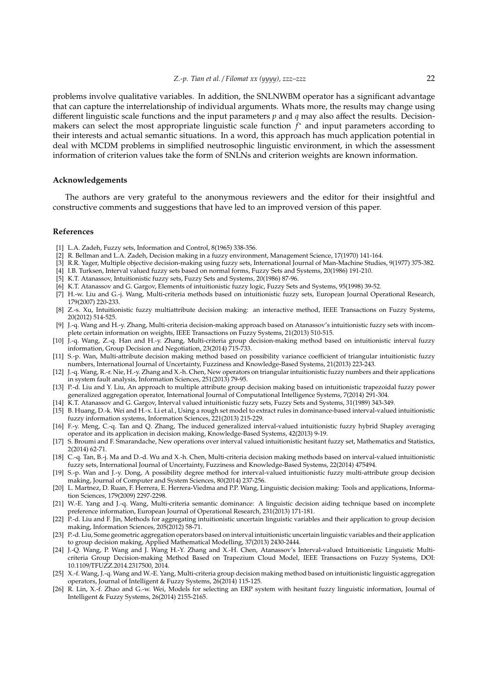problems involve qualitative variables. In addition, the SNLNWBM operator has a significant advantage that can capture the interrelationship of individual arguments. Whats more, the results may change using different linguistic scale functions and the input parameters *p* and *q* may also affect the results. Decisionmakers can select the most appropriate linguistic scale function *f* <sup>∗</sup> and input parameters according to their interests and actual semantic situations. In a word, this approach has much application potential in deal with MCDM problems in simplified neutrosophic linguistic environment, in which the assessment information of criterion values take the form of SNLNs and criterion weights are known information.

#### **Acknowledgements**

The authors are very grateful to the anonymous reviewers and the editor for their insightful and constructive comments and suggestions that have led to an improved version of this paper.

## **References**

- [1] L.A. Zadeh, Fuzzy sets, Information and Control, 8(1965) 338-356.
- [2] R. Bellman and L.A. Zadeh, Decision making in a fuzzy environment, Management Science, 17(1970) 141-164.
- [3] R.R. Yager, Multiple objective decision-making using fuzzy sets, International Journal of Man-Machine Studies, 9(1977) 375-382.
- [4] I.B. Turksen, Interval valued fuzzy sets based on normal forms, Fuzzy Sets and Systems, 20(1986) 191-210.
- [5] K.T. Atanassov, Intuitionistic fuzzy sets, Fuzzy Sets and Systems, 20(1986) 87-96.
- [6] K.T. Atanassov and G. Gargov, Elements of intuitionistic fuzzy logic, Fuzzy Sets and Systems, 95(1998) 39-52.
- [7] H.-w. Liu and G.-j. Wang, Multi-criteria methods based on intuitionistic fuzzy sets, European Journal Operational Research, 179(2007) 220-233.
- [8] Z.-s. Xu, Intuitionistic fuzzy multiattribute decision making: an interactive method, IEEE Transactions on Fuzzy Systems, 20(2012) 514-525.
- [9] J.-q. Wang and H.-y. Zhang, Multi-criteria decision-making approach based on Atanassov's intuitionistic fuzzy sets with incomplete certain information on weights, IEEE Transactions on Fuzzy Systems, 21(2013) 510-515.
- [10] J.-q. Wang, Z.-q. Han and H.-y. Zhang, Multi-criteria group decision-making method based on intuitionistic interval fuzzy information, Group Decision and Negotiation, 23(2014) 715-733.
- [11] S.-p. Wan, Multi-attribute decision making method based on possibility variance coefficient of triangular intuitionistic fuzzy numbers, International Journal of Uncertainty, Fuzziness and Knowledge-Based Systems, 21(2013) 223-243.
- [12] J.-q. Wang, R.-r. Nie, H.-y. Zhang and X.-h. Chen, New operators on triangular intuitionistic fuzzy numbers and their applications in system fault analysis, Information Sciences, 251(2013) 79-95.
- [13] P.-d. Liu and Y. Liu, An approach to multiple attribute group decision making based on intuitionistic trapezoidal fuzzy power generalized aggregation operator, International Journal of Computational Intelligence Systems, 7(2014) 291-304.
- [14] K.T. Atanassov and G. Gargov, Interval valued intuitionistic fuzzy sets, Fuzzy Sets and Systems, 31(1989) 343-349.
- [15] B. Huang, D.-k. Wei and H.-x. Li et al., Using a rough set model to extract rules in dominance-based interval-valued intuitionistic fuzzy information systems, Information Sciences, 221(2013) 215-229.
- [16] F.-y. Meng, C.-q. Tan and Q. Zhang, The induced generalized interval-valued intuitionistic fuzzy hybrid Shapley averaging operator and its application in decision making, Knowledge-Based Systems, 42(2013) 9-19.
- [17] S. Broumi and F. Smarandache, New operations over interval valued intuitionistic hesitant fuzzy set, Mathematics and Statistics, 2(2014) 62-71.
- [18] C.-q. Tan, B.-j. Ma and D.-d. Wu and X.-h. Chen, Multi-criteria decision making methods based on interval-valued intuitionistic fuzzy sets, International Journal of Uncertainty, Fuzziness and Knowledge-Based Systems, 22(2014) 475494.
- [19] S.-p. Wan and J.-y. Dong, A possibility degree method for interval-valued intuitionistic fuzzy multi-attribute group decision making, Journal of Computer and System Sciences, 80(2014) 237-256.
- [20] L. Martnez, D. Ruan, F. Herrera, E. Herrera-Viedma and P.P. Wang, Linguistic decision making: Tools and applications, Information Sciences, 179(2009) 2297-2298.
- [21] W.-E. Yang and J.-q. Wang, Multi-criteria semantic dominance: A linguistic decision aiding technique based on incomplete preference information, European Journal of Operational Research, 231(2013) 171-181.
- [22] P.-d. Liu and F. Jin, Methods for aggregating intuitionistic uncertain linguistic variables and their application to group decision making, Information Sciences, 205(2012) 58-71.
- [23] P.-d. Liu, Some geometric aggregation operators based on interval intuitionistic uncertain linguistic variables and their application to group decision making, Applied Mathematical Modelling, 37(2013) 2430-2444.
- [24] J.-Q. Wang, P. Wang and J. Wang H.-Y. Zhang and X.-H. Chen, Atanassov's Interval-valued Intuitionistic Linguistic Multicriteria Group Decision-making Method Based on Trapezium Cloud Model, IEEE Transactions on Fuzzy Systems, DOI: 10.1109/TFUZZ.2014.2317500, 2014.
- [25] X.-f. Wang, J.-q. Wang and W.-E. Yang, Multi-criteria group decision making method based on intuitionistic linguistic aggregation operators, Journal of Intelligent & Fuzzy Systems, 26(2014) 115-125.
- [26] R. Lin, X.-f. Zhao and G.-w. Wei, Models for selecting an ERP system with hesitant fuzzy linguistic information, Journal of Intelligent & Fuzzy Systems, 26(2014) 2155-2165.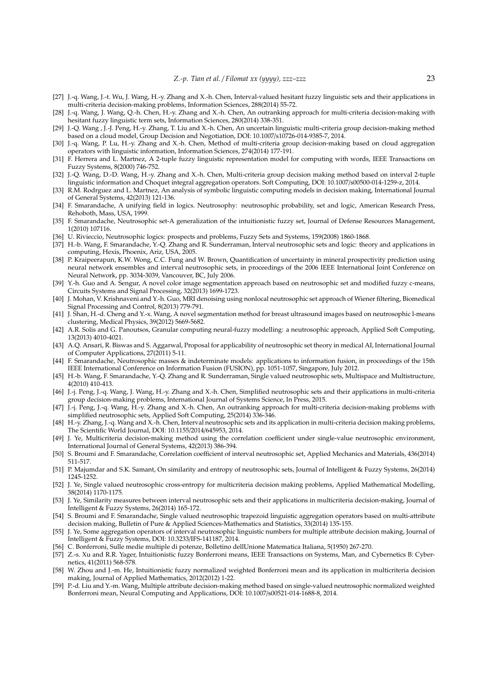- [27] J.-q. Wang, J.-t. Wu, J. Wang, H.-y. Zhang and X.-h. Chen, Interval-valued hesitant fuzzy linguistic sets and their applications in multi-criteria decision-making problems, Information Sciences, 288(2014) 55-72.
- [28] J.-q. Wang, J. Wang, Q.-h. Chen, H.-y. Zhang and X.-h. Chen, An outranking approach for multi-criteria decision-making with hesitant fuzzy linguistic term sets, Information Sciences, 280(2014) 338-351.
- [29] J.-Q. Wang , J.-J. Peng, H.-y. Zhang, T. Liu and X.-h. Chen, An uncertain linguistic multi-criteria group decision-making method based on a cloud model, Group Decision and Negotiation, DOI: 10.1007/s10726-014-9385-7, 2014.
- [30] J.-q. Wang, P. Lu, H.-y. Zhang and X.-h. Chen, Method of multi-criteria group decision-making based on cloud aggregation operators with linguistic information, Information Sciences, 274(2014) 177-191.
- [31] F. Herrera and L. Martnez, A 2-tuple fuzzy linguistic representation model for computing with words, IEEE Transactions on Fuzzy Systems, 8(2000) 746-752.
- [32] J.-Q. Wang, D.-D. Wang, H.-y. Zhang and X.-h. Chen, Multi-criteria group decision making method based on interval 2-tuple linguistic information and Choquet integral aggregation operators. Soft Computing, DOI: 10.1007/s00500-014-1259-z, 2014.
- [33] R.M. Rodrguez and L. Martnez, An analysis of symbolic linguistic computing models in decision making, International Journal of General Systems, 42(2013) 121-136.
- [34] F. Smarandache, A unifying field in logics. Neutrosophy: neutrosophic probability, set and logic, American Research Press, Rehoboth, Mass, USA, 1999.
- [35] F. Smarandache, Neutrosophic set-A generalization of the intuitionistic fuzzy set, Journal of Defense Resources Management, 1(2010) 107116.
- [36] U. Rivieccio, Neutrosophic logics: prospects and problems, Fuzzy Sets and Systems, 159(2008) 1860-1868.
- [37] H.-b. Wang, F. Smarandache, Y.-Q. Zhang and R. Sunderraman, Interval neutrosophic sets and logic: theory and applications in computing, Hexis, Phoenix, Ariz, USA, 2005.
- [38] P. Kraipeerapun, K.W. Wong, C.C. Fung and W. Brown, Quantification of uncertainty in mineral prospectivity prediction using neural network ensembles and interval neutrosophic sets, in proceedings of the 2006 IEEE International Joint Conference on Neural Network, pp. 3034-3039, Vancouver, BC, July 2006.
- [39] Y.-h. Guo and A. Sengur, A novel color image segmentation approach based on neutrosophic set and modified fuzzy c-means, Circuits Systems and Signal Processing, 32(2013) 1699-1723.
- [40] J. Mohan, V. Krishnaveni and Y.-h. Guo, MRI denoising using nonlocal neutrosophic set approach of Wiener filtering, Biomedical Signal Processing and Control, 8(2013) 779-791.
- [41] J. Shan, H.-d. Cheng and Y.-x. Wang, A novel segmentation method for breast ultrasound images based on neutrosophic l-means clustering, Medical Physics, 39(2012) 5669-5682.
- [42] A.R. Solis and G. Panoutsos, Granular computing neural-fuzzy modelling: a neutrosophic approach, Applied Soft Computing, 13(2013) 4010-4021.
- [43] A.Q. Ansari, R. Biswas and S. Aggarwal, Proposal for applicability of neutrosophic set theory in medical AI, International Journal of Computer Applications, 27(2011) 5-11.
- [44] F. Smarandache, Neutrosophic masses & indeterminate models: applications to information fusion, in proceedings of the 15th IEEE International Conference on Information Fusion (FUSION), pp. 1051-1057, Singapore, July 2012.
- [45] H.-b. Wang, F. Smarandache, Y.-Q. Zhang and R. Sunderraman, Single valued neutrosophic sets, Multispace and Multistructure, 4(2010) 410-413.
- [46] J.-j. Peng, J.-q. Wang, J. Wang, H.-y. Zhang and X.-h. Chen, Simplified neutrosophic sets and their applications in multi-criteria group decision-making problems, International Journal of Systems Science, In Press, 2015.
- [47] J.-j. Peng, J.-q. Wang, H.-y. Zhang and X.-h. Chen, An outranking approach for multi-criteria decision-making problems with simplified neutrosophic sets, Applied Soft Computing, 25(2014) 336-346.
- [48] H.-y. Zhang, J.-q. Wang and X.-h. Chen, Interval neutrosophic sets and its application in multi-criteria decision making problems, The Scientific World Journal, DOI: 10.1155/2014/645953, 2014.
- [49] J. Ye, Multicriteria decision-making method using the correlation coefficient under single-value neutrosophic environment, International Journal of General Systems, 42(2013) 386-394.
- [50] S. Broumi and F. Smarandache, Correlation coefficient of interval neutrosophic set, Applied Mechanics and Materials, 436(2014) 511-517.
- [51] P. Majumdar and S.K. Samant, On similarity and entropy of neutrosophic sets, Journal of Intelligent & Fuzzy Systems, 26(2014) 1245-1252.
- [52] J. Ye, Single valued neutrosophic cross-entropy for multicriteria decision making problems, Applied Mathematical Modelling, 38(2014) 1170-1175.
- [53] J. Ye, Similarity measures between interval neutrosophic sets and their applications in multicriteria decision-making, Journal of Intelligent & Fuzzy Systems, 26(2014) 165-172.
- [54] S. Broumi and F. Smarandache, Single valued neutrosophic trapezoid linguistic aggregation operators based on multi-attribute decision making, Bulletin of Pure & Applied Sciences-Mathematics and Statistics, 33(2014) 135-155.
- [55] J. Ye, Some aggregation operators of interval neutrosophic linguistic numbers for multiple attribute decision making, Journal of Intelligent & Fuzzy Systems, DOI: 10.3233/IFS-141187, 2014.
- [56] C. Bonferroni, Sulle medie multiple di potenze, Bolletino dellUnione Matematica Italiana, 5(1950) 267-270.
- [57] Z.-s. Xu and R.R. Yager, Intuitionistic fuzzy Bonferroni means, IEEE Transactions on Systems, Man, and Cybernetics B: Cybernetics, 41(2011) 568-578.
- [58] W. Zhou and J.-m. He, Intuitionistic fuzzy normalized weighted Bonferroni mean and its application in multicriteria decision making, Journal of Applied Mathematics, 2012(2012) 1-22.
- [59] P.-d. Liu and Y.-m. Wang, Multiple attribute decision-making method based on single-valued neutrosophic normalized weighted Bonferroni mean, Neural Computing and Applications, DOI: 10.1007/s00521-014-1688-8, 2014.